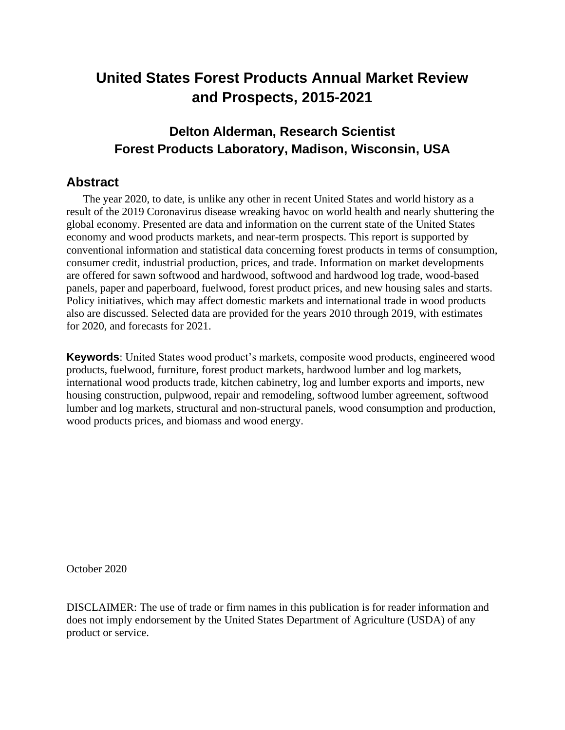# **United States Forest Products Annual Market Review and Prospects, 2015-2021**

# **Delton Alderman, Research Scientist Forest Products Laboratory, Madison, Wisconsin, USA**

# **Abstract**

The year 2020, to date, is unlike any other in recent United States and world history as a result of the 2019 Coronavirus disease wreaking havoc on world health and nearly shuttering the global economy. Presented are data and information on the current state of the United States economy and wood products markets, and near-term prospects. This report is supported by conventional information and statistical data concerning forest products in terms of consumption, consumer credit, industrial production, prices, and trade. Information on market developments are offered for sawn softwood and hardwood, softwood and hardwood log trade, wood-based panels, paper and paperboard, fuelwood, forest product prices, and new housing sales and starts. Policy initiatives, which may affect domestic markets and international trade in wood products also are discussed. Selected data are provided for the years 2010 through 2019, with estimates for 2020, and forecasts for 2021.

**Keywords**: United States wood product's markets, composite wood products, engineered wood products, fuelwood, furniture, forest product markets, hardwood lumber and log markets, international wood products trade, kitchen cabinetry, log and lumber exports and imports, new housing construction, pulpwood, repair and remodeling, softwood lumber agreement, softwood lumber and log markets, structural and non-structural panels, wood consumption and production, wood products prices, and biomass and wood energy.

October 2020

DISCLAIMER: The use of trade or firm names in this publication is for reader information and does not imply endorsement by the United States Department of Agriculture (USDA) of any product or service.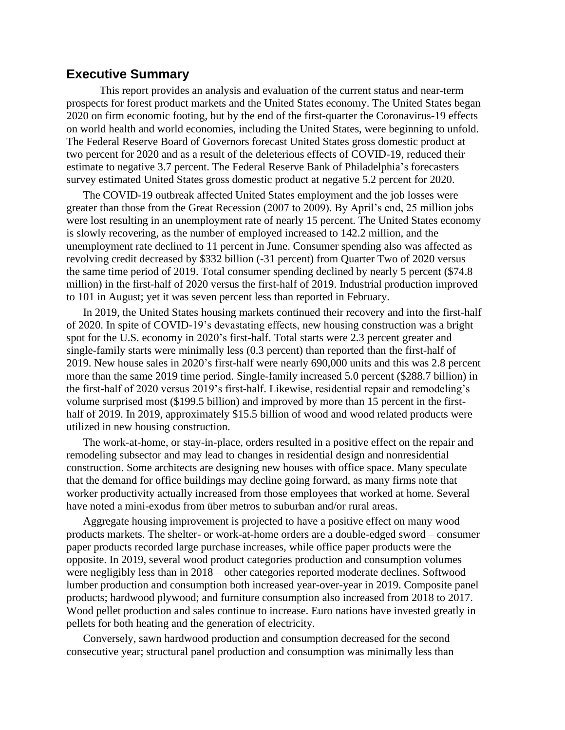# **Executive Summary**

This report provides an analysis and evaluation of the current status and near-term prospects for forest product markets and the United States economy. The United States began 2020 on firm economic footing, but by the end of the first-quarter the Coronavirus-19 effects on world health and world economies, including the United States, were beginning to unfold. The Federal Reserve Board of Governors forecast United States gross domestic product at two percent for 2020 and as a result of the deleterious effects of COVID-19, reduced their estimate to negative 3.7 percent. The Federal Reserve Bank of Philadelphia's forecasters survey estimated United States gross domestic product at negative 5.2 percent for 2020.

The COVID-19 outbreak affected United States employment and the job losses were greater than those from the Great Recession (2007 to 2009). By April's end, 25 million jobs were lost resulting in an unemployment rate of nearly 15 percent. The United States economy is slowly recovering, as the number of employed increased to 142.2 million, and the unemployment rate declined to 11 percent in June. Consumer spending also was affected as revolving credit decreased by \$332 billion (-31 percent) from Quarter Two of 2020 versus the same time period of 2019. Total consumer spending declined by nearly 5 percent (\$74.8 million) in the first-half of 2020 versus the first-half of 2019. Industrial production improved to 101 in August; yet it was seven percent less than reported in February.

In 2019, the United States housing markets continued their recovery and into the first-half of 2020. In spite of COVID-19's devastating effects, new housing construction was a bright spot for the U.S. economy in 2020's first-half. Total starts were 2.3 percent greater and single-family starts were minimally less (0.3 percent) than reported than the first-half of 2019. New house sales in 2020's first-half were nearly 690,000 units and this was 2.8 percent more than the same 2019 time period. Single-family increased 5.0 percent (\$288.7 billion) in the first-half of 2020 versus 2019's first-half. Likewise, residential repair and remodeling's volume surprised most (\$199.5 billion) and improved by more than 15 percent in the firsthalf of 2019. In 2019, approximately \$15.5 billion of wood and wood related products were utilized in new housing construction.

The work-at-home, or stay-in-place, orders resulted in a positive effect on the repair and remodeling subsector and may lead to changes in residential design and nonresidential construction. Some architects are designing new houses with office space. Many speculate that the demand for office buildings may decline going forward, as many firms note that worker productivity actually increased from those employees that worked at home. Several have noted a mini-exodus from über metros to suburban and/or rural areas.

Aggregate housing improvement is projected to have a positive effect on many wood products markets. The shelter- or work-at-home orders are a double-edged sword – consumer paper products recorded large purchase increases, while office paper products were the opposite. In 2019, several wood product categories production and consumption volumes were negligibly less than in 2018 – other categories reported moderate declines. Softwood lumber production and consumption both increased year-over-year in 2019. Composite panel products; hardwood plywood; and furniture consumption also increased from 2018 to 2017. Wood pellet production and sales continue to increase. Euro nations have invested greatly in pellets for both heating and the generation of electricity.

Conversely, sawn hardwood production and consumption decreased for the second consecutive year; structural panel production and consumption was minimally less than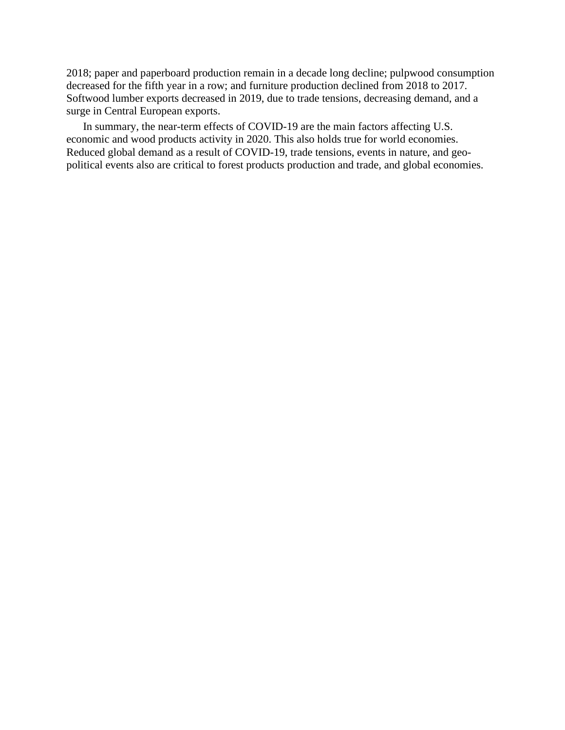2018; paper and paperboard production remain in a decade long decline; pulpwood consumption decreased for the fifth year in a row; and furniture production declined from 2018 to 2017. Softwood lumber exports decreased in 2019, due to trade tensions, decreasing demand, and a surge in Central European exports.

In summary, the near-term effects of COVID-19 are the main factors affecting U.S. economic and wood products activity in 2020. This also holds true for world economies. Reduced global demand as a result of COVID-19, trade tensions, events in nature, and geopolitical events also are critical to forest products production and trade, and global economies.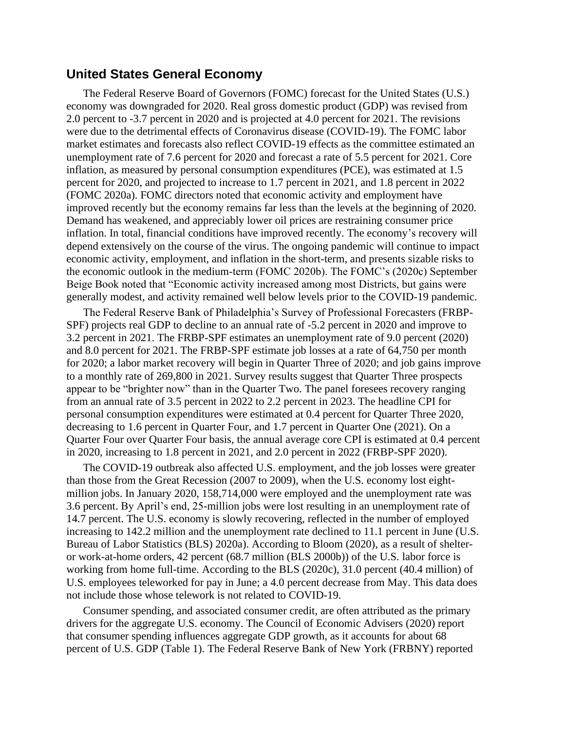#### **United States General Economy**

The Federal Reserve Board of Governors (FOMC) forecast for the United States (U.S.) economy was downgraded for 2020. Real gross domestic product (GDP) was revised from 2.0 percent to -3.7 percent in 2020 and is projected at 4.0 percent for 2021. The revisions were due to the detrimental effects of Coronavirus disease (COVID-19). The FOMC labor market estimates and forecasts also reflect COVID-19 effects as the committee estimated an unemployment rate of 7.6 percent for 2020 and forecast a rate of 5.5 percent for 2021. Core inflation, as measured by personal consumption expenditures (PCE), was estimated at 1.5 percent for 2020, and projected to increase to 1.7 percent in 2021, and 1.8 percent in 2022 (FOMC 2020a). FOMC directors noted that economic activity and employment have improved recently but the economy remains far less than the levels at the beginning of 2020. Demand has weakened, and appreciably lower oil prices are restraining consumer price inflation. In total, financial conditions have improved recently. The economy's recovery will depend extensively on the course of the virus. The ongoing pandemic will continue to impact economic activity, employment, and inflation in the short-term, and presents sizable risks to the economic outlook in the medium-term (FOMC 2020b). The FOMC's (2020c) September Beige Book noted that "Economic activity increased among most Districts, but gains were generally modest, and activity remained well below levels prior to the COVID-19 pandemic.

The Federal Reserve Bank of Philadelphia's Survey of Professional Forecasters (FRBP-SPF) projects real GDP to decline to an annual rate of -5.2 percent in 2020 and improve to 3.2 percent in 2021. The FRBP-SPF estimates an unemployment rate of 9.0 percent (2020) and 8.0 percent for 2021. The FRBP-SPF estimate job losses at a rate of 64,750 per month for 2020; a labor market recovery will begin in Quarter Three of 2020; and job gains improve to a monthly rate of 269,800 in 2021. Survey results suggest that Quarter Three prospects appear to be "brighter now" than in the Quarter Two. The panel foresees recovery ranging from an annual rate of 3.5 percent in 2022 to 2.2 percent in 2023. The headline CPI for personal consumption expenditures were estimated at 0.4 percent for Quarter Three 2020, decreasing to 1.6 percent in Quarter Four, and 1.7 percent in Quarter One (2021). On a Quarter Four over Quarter Four basis, the annual average core CPI is estimated at 0.4 percent in 2020, increasing to 1.8 percent in 2021, and 2.0 percent in 2022 (FRBP-SPF 2020).

The COVID-19 outbreak also affected U.S. employment, and the job losses were greater than those from the Great Recession (2007 to 2009), when the U.S. economy lost eightmillion jobs. In January 2020, 158,714,000 were employed and the unemployment rate was 3.6 percent. By April's end, 25-million jobs were lost resulting in an unemployment rate of 14.7 percent. The U.S. economy is slowly recovering, reflected in the number of employed increasing to 142.2 million and the unemployment rate declined to 11.1 percent in June (U.S. Bureau of Labor Statistics (BLS) 2020a). According to Bloom (2020), as a result of shelteror work-at-home orders, 42 percent (68.7 million (BLS 2000b)) of the U.S. labor force is working from home full-time. According to the BLS (2020c), 31.0 percent (40.4 million) of U.S. employees teleworked for pay in June; a 4.0 percent decrease from May. This data does not include those whose telework is not related to COVID-19.

Consumer spending, and associated consumer credit, are often attributed as the primary drivers for the aggregate U.S. economy. The Council of Economic Advisers (2020) report that consumer spending influences aggregate GDP growth, as it accounts for about 68 percent of U.S. GDP (Table 1). The Federal Reserve Bank of New York (FRBNY) reported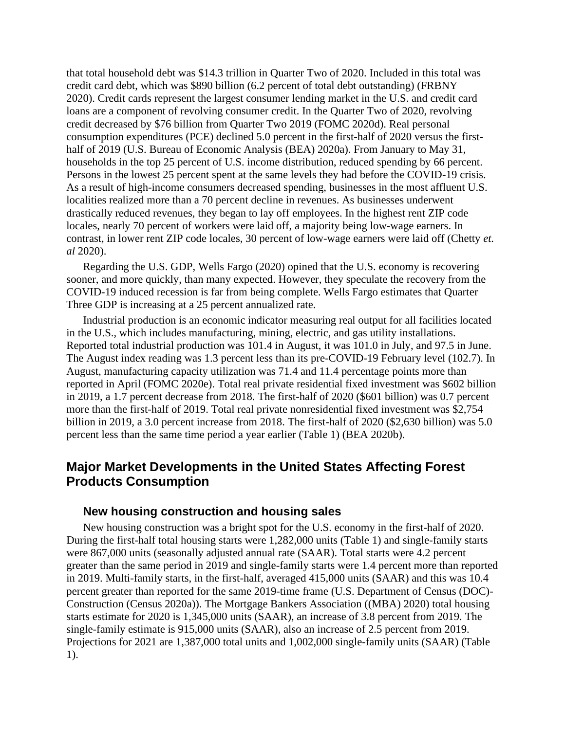that total household debt was \$14.3 trillion in Quarter Two of 2020. Included in this total was credit card debt, which was \$890 billion (6.2 percent of total debt outstanding) (FRBNY 2020). Credit cards represent the largest consumer lending market in the U.S. and credit card loans are a component of revolving consumer credit. In the Quarter Two of 2020, revolving credit decreased by \$76 billion from Quarter Two 2019 (FOMC 2020d). Real personal consumption expenditures (PCE) declined 5.0 percent in the first-half of 2020 versus the firsthalf of 2019 (U.S. Bureau of Economic Analysis (BEA) 2020a). From January to May 31, households in the top 25 percent of U.S. income distribution, reduced spending by 66 percent. Persons in the lowest 25 percent spent at the same levels they had before the COVID-19 crisis. As a result of high-income consumers decreased spending, businesses in the most affluent U.S. localities realized more than a 70 percent decline in revenues. As businesses underwent drastically reduced revenues, they began to lay off employees. In the highest rent ZIP code locales, nearly 70 percent of workers were laid off, a majority being low-wage earners. In contrast, in lower rent ZIP code locales, 30 percent of low-wage earners were laid off (Chetty *et. al* 2020).

Regarding the U.S. GDP, Wells Fargo (2020) opined that the U.S. economy is recovering sooner, and more quickly, than many expected. However, they speculate the recovery from the COVID-19 induced recession is far from being complete. Wells Fargo estimates that Quarter Three GDP is increasing at a 25 percent annualized rate.

Industrial production is an economic indicator measuring real output for all facilities located in the U.S., which includes manufacturing, mining, electric, and gas utility installations. Reported total industrial production was 101.4 in August, it was 101.0 in July, and 97.5 in June. The August index reading was 1.3 percent less than its pre-COVID-19 February level (102.7). In August, manufacturing capacity utilization was 71.4 and 11.4 percentage points more than reported in April (FOMC 2020e). Total real private residential fixed investment was \$602 billion in 2019, a 1.7 percent decrease from 2018. The first-half of 2020 (\$601 billion) was 0.7 percent more than the first-half of 2019. Total real private nonresidential fixed investment was \$2,754 billion in 2019, a 3.0 percent increase from 2018. The first-half of 2020 (\$2,630 billion) was 5.0 percent less than the same time period a year earlier (Table 1) (BEA 2020b).

## **Major Market Developments in the United States Affecting Forest Products Consumption**

#### **New housing construction and housing sales**

New housing construction was a bright spot for the U.S. economy in the first-half of 2020. During the first-half total housing starts were 1,282,000 units (Table 1) and single-family starts were 867,000 units (seasonally adjusted annual rate (SAAR). Total starts were 4.2 percent greater than the same period in 2019 and single-family starts were 1.4 percent more than reported in 2019. Multi-family starts, in the first-half, averaged 415,000 units (SAAR) and this was 10.4 percent greater than reported for the same 2019-time frame (U.S. Department of Census (DOC)- Construction (Census 2020a)). The Mortgage Bankers Association ((MBA) 2020) total housing starts estimate for 2020 is 1,345,000 units (SAAR), an increase of 3.8 percent from 2019. The single-family estimate is 915,000 units (SAAR), also an increase of 2.5 percent from 2019. Projections for 2021 are 1,387,000 total units and 1,002,000 single-family units (SAAR) (Table 1).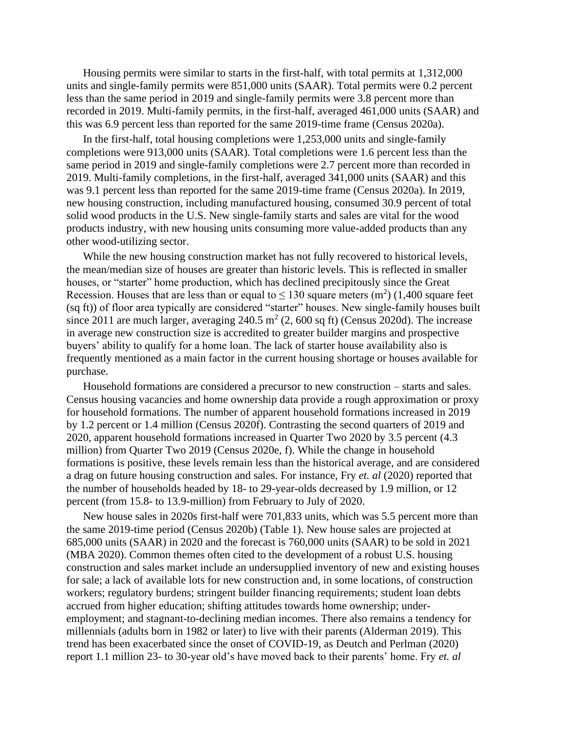Housing permits were similar to starts in the first-half, with total permits at 1,312,000 units and single-family permits were 851,000 units (SAAR). Total permits were 0.2 percent less than the same period in 2019 and single-family permits were 3.8 percent more than recorded in 2019. Multi-family permits, in the first-half, averaged 461,000 units (SAAR) and this was 6.9 percent less than reported for the same 2019-time frame (Census 2020a).

In the first-half, total housing completions were 1,253,000 units and single-family completions were 913,000 units (SAAR). Total completions were 1.6 percent less than the same period in 2019 and single-family completions were 2.7 percent more than recorded in 2019. Multi-family completions, in the first-half, averaged 341,000 units (SAAR) and this was 9.1 percent less than reported for the same 2019-time frame (Census 2020a). In 2019, new housing construction, including manufactured housing, consumed 30.9 percent of total solid wood products in the U.S. New single-family starts and sales are vital for the wood products industry, with new housing units consuming more value-added products than any other wood-utilizing sector.

While the new housing construction market has not fully recovered to historical levels, the mean/median size of houses are greater than historic levels. This is reflected in smaller houses, or "starter" home production, which has declined precipitously since the Great Recession. Houses that are less than or equal to  $\leq 130$  square meters (m<sup>2</sup>) (1,400 square feet (sq ft)) of floor area typically are considered "starter" houses. New single-family houses built since 2011 are much larger, averaging 240.5  $m^2$  (2, 600 sq ft) (Census 2020d). The increase in average new construction size is accredited to greater builder margins and prospective buyers' ability to qualify for a home loan. The lack of starter house availability also is frequently mentioned as a main factor in the current housing shortage or houses available for purchase.

Household formations are considered a precursor to new construction – starts and sales. Census housing vacancies and home ownership data provide a rough approximation or proxy for household formations. The number of apparent household formations increased in 2019 by 1.2 percent or 1.4 million (Census 2020f). Contrasting the second quarters of 2019 and 2020, apparent household formations increased in Quarter Two 2020 by 3.5 percent (4.3 million) from Quarter Two 2019 (Census 2020e, f). While the change in household formations is positive, these levels remain less than the historical average, and are considered a drag on future housing construction and sales. For instance, Fry *et. al* (2020) reported that the number of households headed by 18- to 29-year-olds decreased by 1.9 million, or 12 percent (from 15.8- to 13.9-million) from February to July of 2020.

New house sales in 2020s first-half were 701,833 units, which was 5.5 percent more than the same 2019-time period (Census 2020b) (Table 1). New house sales are projected at 685,000 units (SAAR) in 2020 and the forecast is 760,000 units (SAAR) to be sold in 2021 (MBA 2020). Common themes often cited to the development of a robust U.S. housing construction and sales market include an undersupplied inventory of new and existing houses for sale; a lack of available lots for new construction and, in some locations, of construction workers; regulatory burdens; stringent builder financing requirements; student loan debts accrued from higher education; shifting attitudes towards home ownership; underemployment; and stagnant-to-declining median incomes. There also remains a tendency for millennials (adults born in 1982 or later) to live with their parents (Alderman 2019). This trend has been exacerbated since the onset of COVID-19, as Deutch and Perlman (2020) report 1.1 million 23- to 30-year old's have moved back to their parents' home. Fry *et. al*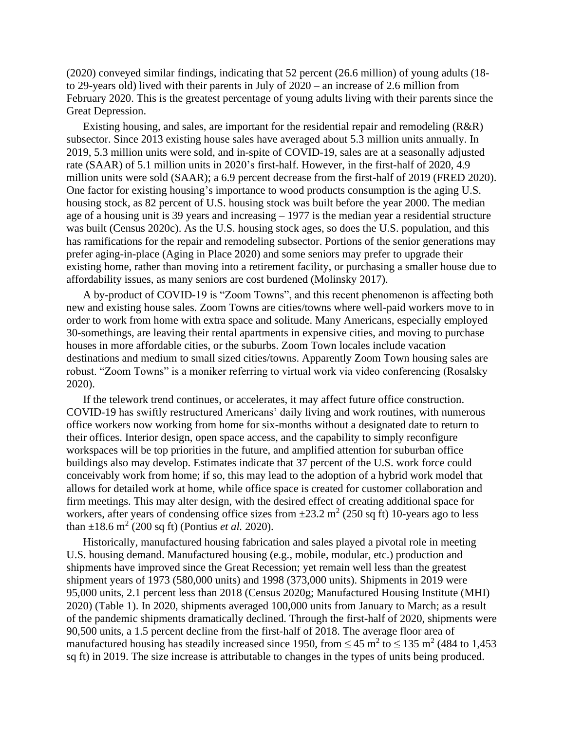(2020) conveyed similar findings, indicating that 52 percent (26.6 million) of young adults (18 to 29-years old) lived with their parents in July of 2020 – an increase of 2.6 million from February 2020. This is the greatest percentage of young adults living with their parents since the Great Depression.

Existing housing, and sales, are important for the residential repair and remodeling (R&R) subsector. Since 2013 existing house sales have averaged about 5.3 million units annually. In 2019, 5.3 million units were sold, and in-spite of COVID-19, sales are at a seasonally adjusted rate (SAAR) of 5.1 million units in 2020's first-half. However, in the first-half of 2020, 4.9 million units were sold (SAAR); a 6.9 percent decrease from the first-half of 2019 (FRED 2020). One factor for existing housing's importance to wood products consumption is the aging U.S. housing stock, as 82 percent of U.S. housing stock was built before the year 2000. The median age of a housing unit is 39 years and increasing – 1977 is the median year a residential structure was built (Census 2020c). As the U.S. housing stock ages, so does the U.S. population, and this has ramifications for the repair and remodeling subsector. Portions of the senior generations may prefer aging-in-place (Aging in Place 2020) and some seniors may prefer to upgrade their existing home, rather than moving into a retirement facility, or purchasing a smaller house due to affordability issues, as many seniors are cost burdened (Molinsky 2017).

A by-product of COVID-19 is "Zoom Towns", and this recent phenomenon is affecting both new and existing house sales. Zoom Towns are cities/towns where well-paid workers move to in order to work from home with extra space and solitude. Many Americans, especially employed 30-somethings, are leaving their rental apartments in expensive cities, and moving to purchase houses in more affordable cities, or the suburbs. Zoom Town locales include vacation destinations and medium to small sized cities/towns. Apparently Zoom Town housing sales are robust. "Zoom Towns" is a moniker referring to virtual work via video conferencing (Rosalsky 2020).

If the telework trend continues, or accelerates, it may affect future office construction. COVID-19 has swiftly restructured Americans' daily living and work routines, with numerous office workers now working from home for six-months without a designated date to return to their offices. Interior design, open space access, and the capability to simply reconfigure workspaces will be top priorities in the future, and amplified attention for suburban office buildings also may develop. Estimates indicate that 37 percent of the U.S. work force could conceivably work from home; if so, this may lead to the adoption of a hybrid work model that allows for detailed work at home, while office space is created for customer collaboration and firm meetings. This may alter design, with the desired effect of creating additional space for workers, after years of condensing office sizes from  $\pm 23.2$  m<sup>2</sup> (250 sq ft) 10-years ago to less than  $\pm 18.6$  m<sup>2</sup> (200 sq ft) (Pontius *et al.* 2020).

Historically, manufactured housing fabrication and sales played a pivotal role in meeting U.S. housing demand. Manufactured housing (e.g., mobile, modular, etc.) production and shipments have improved since the Great Recession; yet remain well less than the greatest shipment years of 1973 (580,000 units) and 1998 (373,000 units). Shipments in 2019 were 95,000 units, 2.1 percent less than 2018 (Census 2020g; Manufactured Housing Institute (MHI) 2020) (Table 1). In 2020, shipments averaged 100,000 units from January to March; as a result of the pandemic shipments dramatically declined. Through the first-half of 2020, shipments were 90,500 units, a 1.5 percent decline from the first-half of 2018. The average floor area of manufactured housing has steadily increased since 1950, from  $\leq 45$  m<sup>2</sup> to  $\leq 135$  m<sup>2</sup> (484 to 1,453) sq ft) in 2019. The size increase is attributable to changes in the types of units being produced.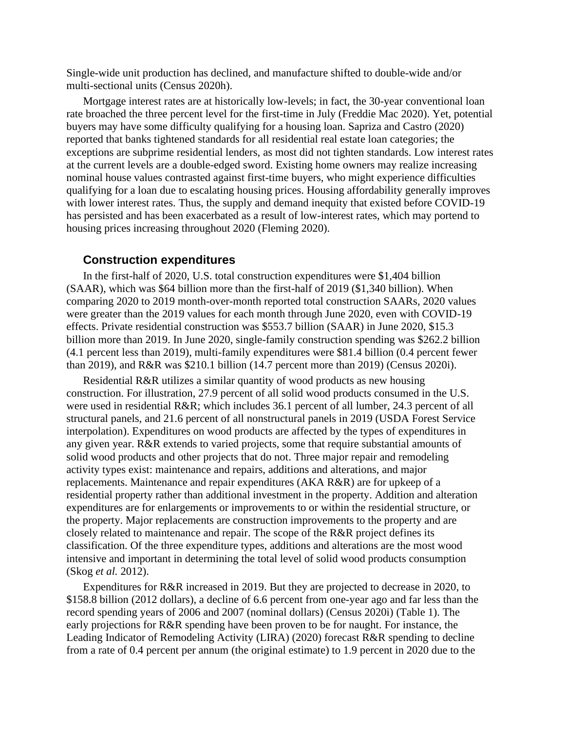Single-wide unit production has declined, and manufacture shifted to double-wide and/or multi-sectional units (Census 2020h).

Mortgage interest rates are at historically low-levels; in fact, the 30-year conventional loan rate broached the three percent level for the first-time in July (Freddie Mac 2020). Yet, potential buyers may have some difficulty qualifying for a housing loan. Sapriza and Castro (2020) reported that banks tightened standards for all residential real estate loan categories; the exceptions are subprime residential lenders, as most did not tighten standards. Low interest rates at the current levels are a double-edged sword. Existing home owners may realize increasing nominal house values contrasted against first-time buyers, who might experience difficulties qualifying for a loan due to escalating housing prices. Housing affordability generally improves with lower interest rates. Thus, the supply and demand inequity that existed before COVID-19 has persisted and has been exacerbated as a result of low-interest rates, which may portend to housing prices increasing throughout 2020 (Fleming 2020).

#### **Construction expenditures**

In the first-half of 2020, U.S. total construction expenditures were \$1,404 billion (SAAR), which was \$64 billion more than the first-half of 2019 (\$1,340 billion). When comparing 2020 to 2019 month-over-month reported total construction SAARs, 2020 values were greater than the 2019 values for each month through June 2020, even with COVID-19 effects. Private residential construction was \$553.7 billion (SAAR) in June 2020, \$15.3 billion more than 2019. In June 2020, single-family construction spending was \$262.2 billion (4.1 percent less than 2019), multi-family expenditures were \$81.4 billion (0.4 percent fewer than 2019), and R&R was \$210.1 billion (14.7 percent more than 2019) (Census 2020i).

Residential R&R utilizes a similar quantity of wood products as new housing construction. For illustration, 27.9 percent of all solid wood products consumed in the U.S. were used in residential R&R; which includes 36.1 percent of all lumber, 24.3 percent of all structural panels, and 21.6 percent of all nonstructural panels in 2019 (USDA Forest Service interpolation). Expenditures on wood products are affected by the types of expenditures in any given year. R&R extends to varied projects, some that require substantial amounts of solid wood products and other projects that do not. Three major repair and remodeling activity types exist: maintenance and repairs, additions and alterations, and major replacements. Maintenance and repair expenditures (AKA R&R) are for upkeep of a residential property rather than additional investment in the property. Addition and alteration expenditures are for enlargements or improvements to or within the residential structure, or the property. Major replacements are construction improvements to the property and are closely related to maintenance and repair. The scope of the R&R project defines its classification. Of the three expenditure types, additions and alterations are the most wood intensive and important in determining the total level of solid wood products consumption (Skog *et al.* 2012).

Expenditures for R&R increased in 2019. But they are projected to decrease in 2020, to \$158.8 billion (2012 dollars), a decline of 6.6 percent from one-year ago and far less than the record spending years of 2006 and 2007 (nominal dollars) (Census 2020i) (Table 1). The early projections for R&R spending have been proven to be for naught. For instance, the Leading Indicator of Remodeling Activity (LIRA) (2020) forecast R&R spending to decline from a rate of 0.4 percent per annum (the original estimate) to 1.9 percent in 2020 due to the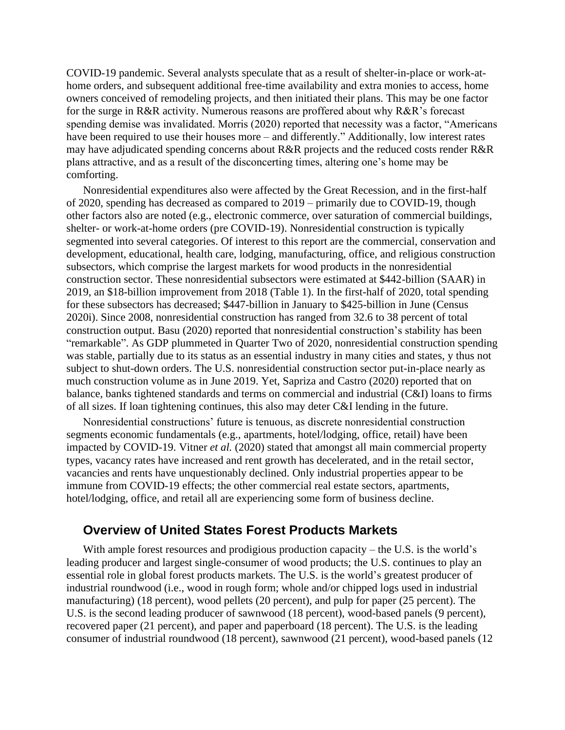COVID-19 pandemic. Several analysts speculate that as a result of shelter-in-place or work-athome orders, and subsequent additional free-time availability and extra monies to access, home owners conceived of remodeling projects, and then initiated their plans. This may be one factor for the surge in R&R activity. Numerous reasons are proffered about why R&R's forecast spending demise was invalidated. Morris (2020) reported that necessity was a factor, "Americans have been required to use their houses more – and differently." Additionally, low interest rates may have adjudicated spending concerns about R&R projects and the reduced costs render R&R plans attractive, and as a result of the disconcerting times, altering one's home may be comforting.

Nonresidential expenditures also were affected by the Great Recession, and in the first-half of 2020, spending has decreased as compared to 2019 – primarily due to COVID-19, though other factors also are noted (e.g., electronic commerce, over saturation of commercial buildings, shelter- or work-at-home orders (pre COVID-19). Nonresidential construction is typically segmented into several categories. Of interest to this report are the commercial, conservation and development, educational, health care, lodging, manufacturing, office, and religious construction subsectors, which comprise the largest markets for wood products in the nonresidential construction sector. These nonresidential subsectors were estimated at \$442-billion (SAAR) in 2019, an \$18-billion improvement from 2018 (Table 1). In the first-half of 2020, total spending for these subsectors has decreased; \$447-billion in January to \$425-billion in June (Census 2020i). Since 2008, nonresidential construction has ranged from 32.6 to 38 percent of total construction output. Basu (2020) reported that nonresidential construction's stability has been "remarkable". As GDP plummeted in Quarter Two of 2020, nonresidential construction spending was stable, partially due to its status as an essential industry in many cities and states, y thus not subject to shut-down orders. The U.S. nonresidential construction sector put-in-place nearly as much construction volume as in June 2019. Yet, Sapriza and Castro (2020) reported that on balance, banks tightened standards and terms on commercial and industrial (C&I) loans to firms of all sizes. If loan tightening continues, this also may deter C&I lending in the future.

Nonresidential constructions' future is tenuous, as discrete nonresidential construction segments economic fundamentals (e.g., apartments, hotel/lodging, office, retail) have been impacted by COVID-19. Vitner *et al.* (2020) stated that amongst all main commercial property types, vacancy rates have increased and rent growth has decelerated, and in the retail sector, vacancies and rents have unquestionably declined. Only industrial properties appear to be immune from COVID-19 effects; the other commercial real estate sectors, apartments, hotel/lodging, office, and retail all are experiencing some form of business decline.

#### **Overview of United States Forest Products Markets**

With ample forest resources and prodigious production capacity – the U.S. is the world's leading producer and largest single-consumer of wood products; the U.S. continues to play an essential role in global forest products markets. The U.S. is the world's greatest producer of industrial roundwood (i.e., wood in rough form; whole and/or chipped logs used in industrial manufacturing) (18 percent), wood pellets (20 percent), and pulp for paper (25 percent). The U.S. is the second leading producer of sawnwood (18 percent), wood-based panels (9 percent), recovered paper (21 percent), and paper and paperboard (18 percent). The U.S. is the leading consumer of industrial roundwood (18 percent), sawnwood (21 percent), wood-based panels (12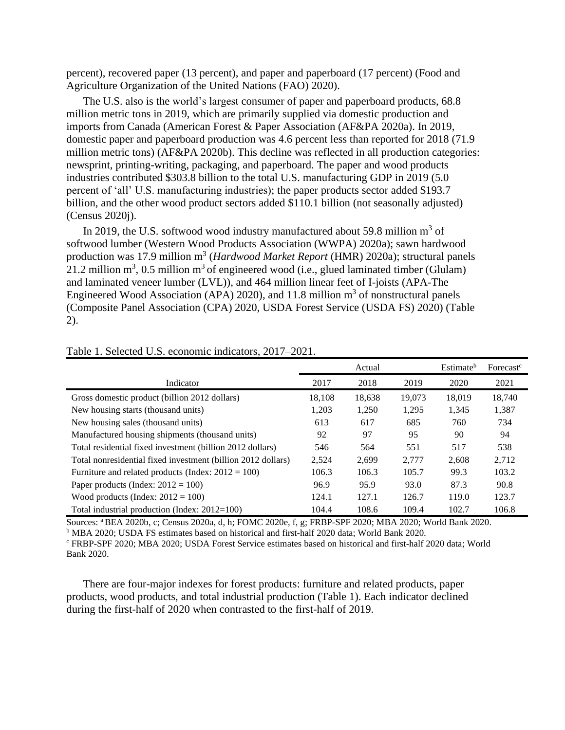percent), recovered paper (13 percent), and paper and paperboard (17 percent) (Food and Agriculture Organization of the United Nations (FAO) 2020).

The U.S. also is the world's largest consumer of paper and paperboard products, 68.8 million metric tons in 2019, which are primarily supplied via domestic production and imports from Canada (American Forest & Paper Association (AF&PA 2020a). In 2019, domestic paper and paperboard production was 4.6 percent less than reported for 2018 (71.9 million metric tons) (AF&PA 2020b). This decline was reflected in all production categories: newsprint, printing-writing, packaging, and paperboard. The paper and wood products industries contributed \$303.8 billion to the total U.S. manufacturing GDP in 2019 (5.0 percent of 'all' U.S. manufacturing industries); the paper products sector added \$193.7 billion, and the other wood product sectors added \$110.1 billion (not seasonally adjusted) (Census 2020j).

In 2019, the U.S. softwood wood industry manufactured about 59.8 million  $m^3$  of softwood lumber (Western Wood Products Association (WWPA) 2020a); sawn hardwood production was 17.9 million m<sup>3</sup> (*Hardwood Market Report* (HMR) 2020a); structural panels 21.2 million  $m^3$ , 0.5 million  $m^3$  of engineered wood (i.e., glued laminated timber (Glulam) and laminated veneer lumber (LVL)), and 464 million linear feet of I-joists (APA-The Engineered Wood Association (APA) 2020), and 11.8 million  $m<sup>3</sup>$  of nonstructural panels (Composite Panel Association (CPA) 2020, USDA Forest Service (USDA FS) 2020) (Table 2).

|                                                              |        | Actual | Estimate <sup>b</sup> | Forecast <sup>c</sup> |        |
|--------------------------------------------------------------|--------|--------|-----------------------|-----------------------|--------|
| Indicator                                                    | 2017   | 2018   | 2019                  | 2020                  | 2021   |
| Gross domestic product (billion 2012 dollars)                | 18,108 | 18,638 | 19,073                | 18,019                | 18.740 |
| New housing starts (thousand units)                          | 1,203  | 1,250  | 1,295                 | 1,345                 | 1,387  |
| New housing sales (thousand units)                           | 613    | 617    | 685                   | 760                   | 734    |
| Manufactured housing shipments (thousand units)              | 92     | 97     | 95                    | 90                    | 94     |
| Total residential fixed investment (billion 2012 dollars)    | 546    | 564    | 551                   | 517                   | 538    |
| Total nonresidential fixed investment (billion 2012 dollars) | 2,524  | 2,699  | 2,777                 | 2,608                 | 2,712  |
| Furniture and related products (Index: $2012 = 100$ )        | 106.3  | 106.3  | 105.7                 | 99.3                  | 103.2  |
| Paper products (Index: $2012 = 100$ )                        | 96.9   | 95.9   | 93.0                  | 87.3                  | 90.8   |
| Wood products (Index: $2012 = 100$ )                         | 124.1  | 127.1  | 126.7                 | 119.0                 | 123.7  |
| Total industrial production (Index: $2012=100$ )             | 104.4  | 108.6  | 109.4                 | 102.7                 | 106.8  |

Table 1. Selected U.S. economic indicators, 2017–2021.

Sources: <sup>a</sup>BEA 2020b, c; Census 2020a, d, h; FOMC 2020e, f, g; FRBP-SPF 2020; MBA 2020; World Bank 2020. <sup>b</sup> MBA 2020; USDA FS estimates based on historical and first-half 2020 data; World Bank 2020.

<sup>c</sup> FRBP-SPF 2020; MBA 2020; USDA Forest Service estimates based on historical and first-half 2020 data; World Bank 2020.

There are four-major indexes for forest products: furniture and related products, paper products, wood products, and total industrial production (Table 1). Each indicator declined during the first-half of 2020 when contrasted to the first-half of 2019.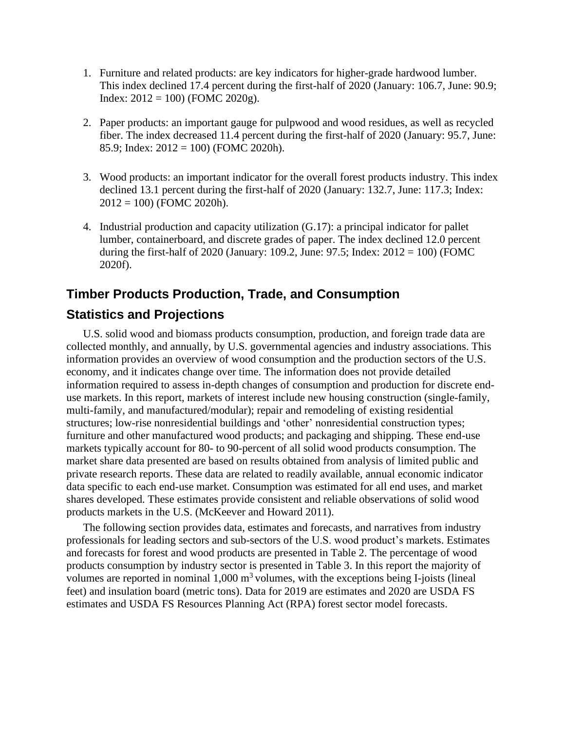- 1. Furniture and related products: are key indicators for higher-grade hardwood lumber. This index declined 17.4 percent during the first-half of 2020 (January: 106.7, June: 90.9; Index: 2012 = 100) (FOMC 2020g).
- 2. Paper products: an important gauge for pulpwood and wood residues, as well as recycled fiber. The index decreased 11.4 percent during the first-half of 2020 (January: 95.7, June: 85.9; Index:  $2012 = 100$ ) (FOMC 2020h).
- 3. Wood products: an important indicator for the overall forest products industry. This index declined 13.1 percent during the first-half of 2020 (January: 132.7, June: 117.3; Index:  $2012 = 100$ ) (FOMC 2020h).
- 4. Industrial production and capacity utilization (G.17): a principal indicator for pallet lumber, containerboard, and discrete grades of paper. The index declined 12.0 percent during the first-half of 2020 (January: 109.2, June: 97.5; Index:  $2012 = 100$ ) (FOMC 2020f).

# **Timber Products Production, Trade, and Consumption**

# **Statistics and Projections**

U.S. solid wood and biomass products consumption, production, and foreign trade data are collected monthly, and annually, by U.S. governmental agencies and industry associations. This information provides an overview of wood consumption and the production sectors of the U.S. economy, and it indicates change over time. The information does not provide detailed information required to assess in-depth changes of consumption and production for discrete enduse markets. In this report, markets of interest include new housing construction (single-family, multi-family, and manufactured/modular); repair and remodeling of existing residential structures; low-rise nonresidential buildings and 'other' nonresidential construction types; furniture and other manufactured wood products; and packaging and shipping. These end-use markets typically account for 80- to 90-percent of all solid wood products consumption. The market share data presented are based on results obtained from analysis of limited public and private research reports. These data are related to readily available, annual economic indicator data specific to each end-use market. Consumption was estimated for all end uses, and market shares developed. These estimates provide consistent and reliable observations of solid wood products markets in the U.S. (McKeever and Howard 2011).

The following section provides data, estimates and forecasts, and narratives from industry professionals for leading sectors and sub-sectors of the U.S. wood product's markets. Estimates and forecasts for forest and wood products are presented in Table 2. The percentage of wood products consumption by industry sector is presented in Table 3. In this report the majority of volumes are reported in nominal  $1,000 \text{ m}^3$  volumes, with the exceptions being I-joists (lineal feet) and insulation board (metric tons). Data for 2019 are estimates and 2020 are USDA FS estimates and USDA FS Resources Planning Act (RPA) forest sector model forecasts.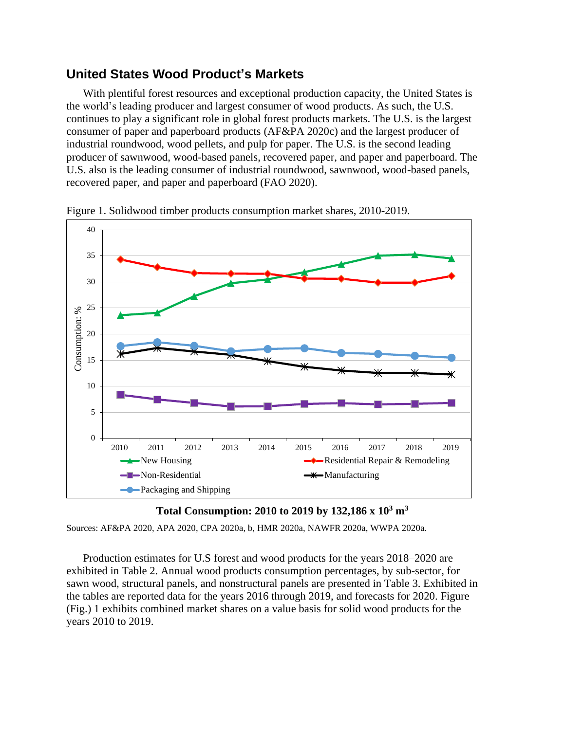## **United States Wood Product's Markets**

With plentiful forest resources and exceptional production capacity, the United States is the world's leading producer and largest consumer of wood products. As such, the U.S. continues to play a significant role in global forest products markets. The U.S. is the largest consumer of paper and paperboard products (AF&PA 2020c) and the largest producer of industrial roundwood, wood pellets, and pulp for paper. The U.S. is the second leading producer of sawnwood, wood-based panels, recovered paper, and paper and paperboard. The U.S. also is the leading consumer of industrial roundwood, sawnwood, wood-based panels, recovered paper, and paper and paperboard (FAO 2020).



Figure 1. Solidwood timber products consumption market shares, 2010-2019.



Sources: AF&PA 2020, APA 2020, CPA 2020a, b, HMR 2020a, NAWFR 2020a, WWPA 2020a.

Production estimates for U.S forest and wood products for the years 2018–2020 are exhibited in Table 2. Annual wood products consumption percentages, by sub-sector, for sawn wood, structural panels, and nonstructural panels are presented in Table 3. Exhibited in the tables are reported data for the years 2016 through 2019, and forecasts for 2020. Figure (Fig.) 1 exhibits combined market shares on a value basis for solid wood products for the years 2010 to 2019.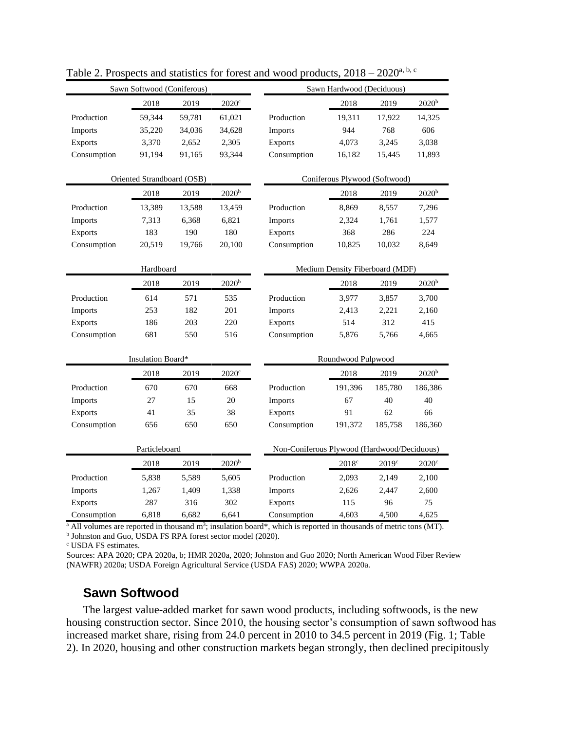| 2019<br>$2020^{\circ}$<br>2018<br>2019<br>2018                                | 2020 <sup>b</sup>                           |  |  |  |  |  |  |  |
|-------------------------------------------------------------------------------|---------------------------------------------|--|--|--|--|--|--|--|
| Production<br>59,344<br>59,781<br>61,021<br>Production<br>19,311<br>17,922    | 14,325                                      |  |  |  |  |  |  |  |
| 944<br>768<br>Imports<br>35,220<br>34,036<br>34,628<br>Imports                | 606                                         |  |  |  |  |  |  |  |
| 3,370<br>2,652<br>2,305<br>3,245<br><b>Exports</b><br><b>Exports</b><br>4,073 | 3,038                                       |  |  |  |  |  |  |  |
| Consumption<br>91,194<br>91,165<br>93,344<br>Consumption<br>16,182<br>15,445  | 11,893                                      |  |  |  |  |  |  |  |
| Oriented Strandboard (OSB)<br>Coniferous Plywood (Softwood)                   |                                             |  |  |  |  |  |  |  |
| 2020 <sup>b</sup><br>2018<br>2019<br>2018<br>2019                             | 2020 <sup>b</sup>                           |  |  |  |  |  |  |  |
| Production<br>13,389<br>13,588<br>13,459<br>Production<br>8,869<br>8,557      | 7,296                                       |  |  |  |  |  |  |  |
| Imports<br>7,313<br>6,368<br>6,821<br>Imports<br>2,324<br>1,761               | 1,577                                       |  |  |  |  |  |  |  |
| 183<br>190<br>180<br>Exports<br>368<br>286<br>Exports                         | 224                                         |  |  |  |  |  |  |  |
| Consumption<br>20,519<br>19,766<br>Consumption<br>10,825<br>10,032<br>20,100  | 8,649                                       |  |  |  |  |  |  |  |
|                                                                               |                                             |  |  |  |  |  |  |  |
| Hardboard                                                                     | Medium Density Fiberboard (MDF)             |  |  |  |  |  |  |  |
| 2020 <sup>b</sup><br>2018<br>2019<br>2018<br>2019                             | 2020 <sup>b</sup>                           |  |  |  |  |  |  |  |
| Production<br>614<br>Production<br>571<br>535<br>3,977<br>3,857               | 3,700                                       |  |  |  |  |  |  |  |
| 253<br>182<br>201<br>2,413<br>2,221<br>Imports<br>Imports                     | 2,160                                       |  |  |  |  |  |  |  |
| 186<br>220<br>514<br>312<br>Exports<br>203<br><b>Exports</b>                  | 415                                         |  |  |  |  |  |  |  |
| 681<br>550<br>Consumption<br>5,766<br>Consumption<br>516<br>5,876             | 4,665                                       |  |  |  |  |  |  |  |
| Insulation Board*<br>Roundwood Pulpwood                                       |                                             |  |  |  |  |  |  |  |
|                                                                               |                                             |  |  |  |  |  |  |  |
| 2018<br>2019<br>$2020$ c<br>2018<br>2019                                      | 2020 <sup>b</sup>                           |  |  |  |  |  |  |  |
| 670<br>670<br>Production<br>191,396<br>185,780<br>Production<br>668<br>40     | 186,386<br>40                               |  |  |  |  |  |  |  |
| 27<br>15<br>20<br>67<br>Imports<br>Imports                                    |                                             |  |  |  |  |  |  |  |
| 91<br>62<br>41<br>35<br>38<br>Exports<br><b>Exports</b>                       | 66                                          |  |  |  |  |  |  |  |
| 656<br>650<br>650<br>Consumption<br>Consumption<br>191,372<br>185,758         | 186,360                                     |  |  |  |  |  |  |  |
| Particleboard                                                                 | Non-Coniferous Plywood (Hardwood/Deciduous) |  |  |  |  |  |  |  |
| 2018<br>2019<br>2020 <sup>b</sup><br>2018c<br>2019c                           | $2020^{\circ}$                              |  |  |  |  |  |  |  |
| Production<br>Production<br>5,838<br>5,589<br>5,605<br>2,093<br>2,149         | 2,100                                       |  |  |  |  |  |  |  |
| 1,267<br>1,409<br>1,338<br>Imports<br>2,626<br>2,447<br>Imports               | 2,600                                       |  |  |  |  |  |  |  |
| 287<br>316<br>302<br>Exports<br>115<br>96<br><b>Exports</b>                   | 75                                          |  |  |  |  |  |  |  |
| 6,818<br>6,682<br>6,641<br>Consumption<br>Consumption<br>4,603<br>4,500       | 4,625                                       |  |  |  |  |  |  |  |

Table 2. Prospects and statistics for forest and wood products,  $2018 - 2020^{a, b, c}$ 

<sup>a</sup> All volumes are reported in thousand m<sup>3</sup>; insulation board\*, which is reported in thousands of metric tons (MT).

**b** Johnston and Guo, USDA FS RPA forest sector model (2020).

<sup>c</sup> USDA FS estimates.

Sources: APA 2020; CPA 2020a, b; HMR 2020a, 2020; Johnston and Guo 2020; North American Wood Fiber Review (NAWFR) 2020a; USDA Foreign Agricultural Service (USDA FAS) 2020; WWPA 2020a.

## **Sawn Softwood**

The largest value-added market for sawn wood products, including softwoods, is the new housing construction sector. Since 2010, the housing sector's consumption of sawn softwood has increased market share, rising from 24.0 percent in 2010 to 34.5 percent in 2019 (Fig. 1; Table 2). In 2020, housing and other construction markets began strongly, then declined precipitously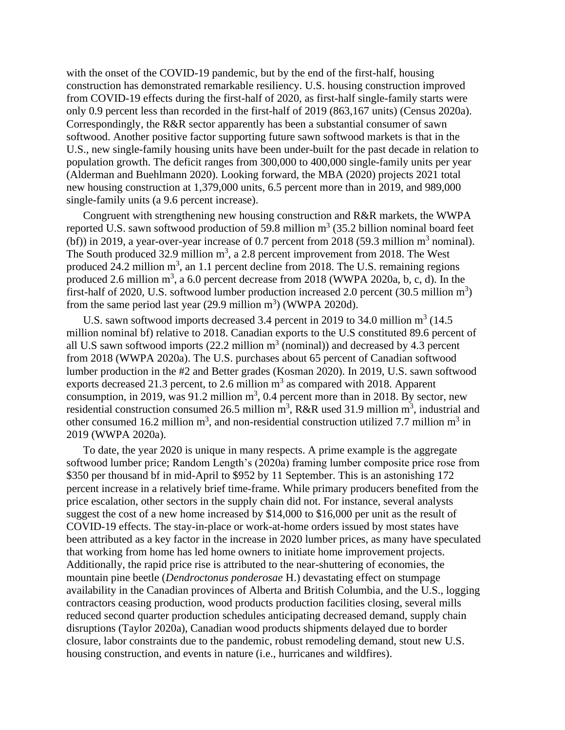with the onset of the COVID-19 pandemic, but by the end of the first-half, housing construction has demonstrated remarkable resiliency. U.S. housing construction improved from COVID-19 effects during the first-half of 2020, as first-half single-family starts were only 0.9 percent less than recorded in the first-half of 2019 (863,167 units) (Census 2020a). Correspondingly, the R&R sector apparently has been a substantial consumer of sawn softwood. Another positive factor supporting future sawn softwood markets is that in the U.S., new single-family housing units have been under-built for the past decade in relation to population growth. The deficit ranges from 300,000 to 400,000 single-family units per year (Alderman and Buehlmann 2020). Looking forward, the MBA (2020) projects 2021 total new housing construction at 1,379,000 units, 6.5 percent more than in 2019, and 989,000 single-family units (a 9.6 percent increase).

Congruent with strengthening new housing construction and R&R markets, the WWPA reported U.S. sawn softwood production of 59.8 million  $m^3$  (35.2 billion nominal board feet (bf)) in 2019, a year-over-year increase of 0.7 percent from 2018 (59.3 million  $m<sup>3</sup>$  nominal). The South produced 32.9 million  $m^3$ , a 2.8 percent improvement from 2018. The West produced 24.2 million  $m<sup>3</sup>$ , an 1.1 percent decline from 2018. The U.S. remaining regions produced 2.6 million  $m^3$ , a 6.0 percent decrease from 2018 (WWPA 2020a, b, c, d). In the first-half of 2020, U.S. softwood lumber production increased 2.0 percent  $(30.5 \text{ million m}^3)$ from the same period last year  $(29.9 \text{ million m}^3)$  (WWPA 2020d).

U.S. sawn softwood imports decreased 3.4 percent in 2019 to 34.0 million  $m^3$  (14.5) million nominal bf) relative to 2018. Canadian exports to the U.S constituted 89.6 percent of all U.S sawn softwood imports  $(22.2 \text{ million m}^3 \text{ (nominal)})$  and decreased by 4.3 percent from 2018 (WWPA 2020a). The U.S. purchases about 65 percent of Canadian softwood lumber production in the #2 and Better grades (Kosman 2020). In 2019, U.S. sawn softwood exports decreased 21.3 percent, to 2.6 million  $m<sup>3</sup>$  as compared with 2018. Apparent consumption, in 2019, was 91.2 million  $m<sup>3</sup>$ , 0.4 percent more than in 2018. By sector, new residential construction consumed 26.5 million  $m^3$ , R&R used 31.9 million  $m^3$ , industrial and other consumed 16.2 million  $m^3$ , and non-residential construction utilized 7.7 million  $m^3$  in 2019 (WWPA 2020a).

To date, the year 2020 is unique in many respects. A prime example is the aggregate softwood lumber price; Random Length's (2020a) framing lumber composite price rose from \$350 per thousand bf in mid-April to \$952 by 11 September. This is an astonishing 172 percent increase in a relatively brief time-frame. While primary producers benefited from the price escalation, other sectors in the supply chain did not. For instance, several analysts suggest the cost of a new home increased by \$14,000 to \$16,000 per unit as the result of COVID-19 effects. The stay-in-place or work-at-home orders issued by most states have been attributed as a key factor in the increase in 2020 lumber prices, as many have speculated that working from home has led home owners to initiate home improvement projects. Additionally, the rapid price rise is attributed to the near-shuttering of economies, the mountain pine beetle (*Dendroctonus ponderosae* H.) devastating effect on stumpage availability in the Canadian provinces of Alberta and British Columbia, and the U.S., logging contractors ceasing production, wood products production facilities closing, several mills reduced second quarter production schedules anticipating decreased demand, supply chain disruptions (Taylor 2020a), Canadian wood products shipments delayed due to border closure, labor constraints due to the pandemic, robust remodeling demand, stout new U.S. housing construction, and events in nature (i.e., hurricanes and wildfires).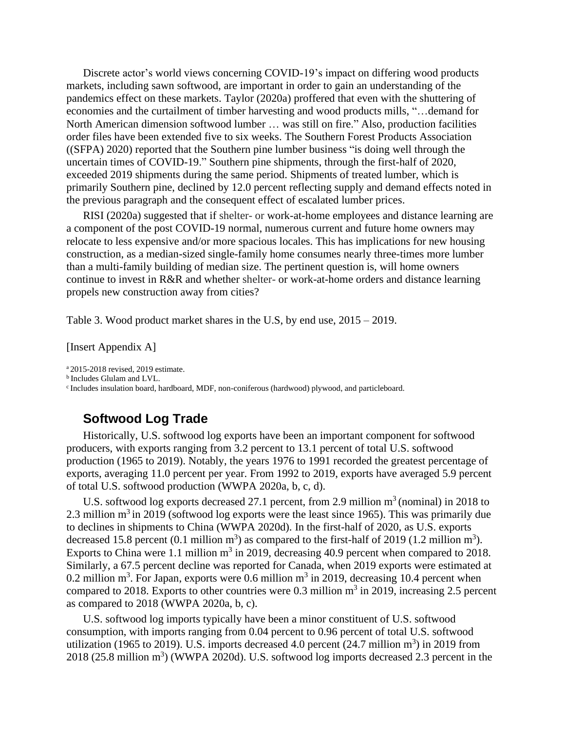Discrete actor's world views concerning COVID-19's impact on differing wood products markets, including sawn softwood, are important in order to gain an understanding of the pandemics effect on these markets. Taylor (2020a) proffered that even with the shuttering of economies and the curtailment of timber harvesting and wood products mills, "…demand for North American dimension softwood lumber … was still on fire." Also, production facilities order files have been extended five to six weeks. The Southern Forest Products Association ((SFPA) 2020) reported that the Southern pine lumber business "is doing well through the uncertain times of COVID-19." Southern pine shipments, through the first-half of 2020, exceeded 2019 shipments during the same period. Shipments of treated lumber, which is primarily Southern pine, declined by 12.0 percent reflecting supply and demand effects noted in the previous paragraph and the consequent effect of escalated lumber prices.

RISI (2020a) suggested that if shelter- or work-at-home employees and distance learning are a component of the post COVID-19 normal, numerous current and future home owners may relocate to less expensive and/or more spacious locales. This has implications for new housing construction, as a median-sized single-family home consumes nearly three-times more lumber than a multi-family building of median size. The pertinent question is, will home owners continue to invest in R&R and whether shelter- or work-at-home orders and distance learning propels new construction away from cities?

Table 3. Wood product market shares in the U.S, by end use, 2015 – 2019.

[Insert Appendix A]

<sup>a</sup>2015-2018 revised, 2019 estimate.

**b** Includes Glulam and LVL.

<sup>c</sup> Includes insulation board, hardboard, MDF, non-coniferous (hardwood) plywood, and particleboard.

## **Softwood Log Trade**

Historically, U.S. softwood log exports have been an important component for softwood producers, with exports ranging from 3.2 percent to 13.1 percent of total U.S. softwood production (1965 to 2019). Notably, the years 1976 to 1991 recorded the greatest percentage of exports, averaging 11.0 percent per year. From 1992 to 2019, exports have averaged 5.9 percent of total U.S. softwood production (WWPA 2020a, b, c, d).

U.S. softwood log exports decreased 27.1 percent, from 2.9 million  $m<sup>3</sup>$  (nominal) in 2018 to 2.3 million  $m<sup>3</sup>$  in 2019 (softwood log exports were the least since 1965). This was primarily due to declines in shipments to China (WWPA 2020d). In the first-half of 2020, as U.S. exports decreased 15.8 percent (0.1 million  $m^3$ ) as compared to the first-half of 2019 (1.2 million  $m^3$ ). Exports to China were 1.1 million  $m^3$  in 2019, decreasing 40.9 percent when compared to 2018. Similarly, a 67.5 percent decline was reported for Canada, when 2019 exports were estimated at 0.2 million m<sup>3</sup>. For Japan, exports were 0.6 million m<sup>3</sup> in 2019, decreasing 10.4 percent when compared to 2018. Exports to other countries were 0.3 million  $m^3$  in 2019, increasing 2.5 percent as compared to 2018 (WWPA 2020a, b, c).

U.S. softwood log imports typically have been a minor constituent of U.S. softwood consumption, with imports ranging from 0.04 percent to 0.96 percent of total U.S. softwood utilization (1965 to 2019). U.S. imports decreased 4.0 percent (24.7 million  $m^3$ ) in 2019 from  $2018$  (25.8 million m<sup>3</sup>) (WWPA 2020d). U.S. softwood log imports decreased 2.3 percent in the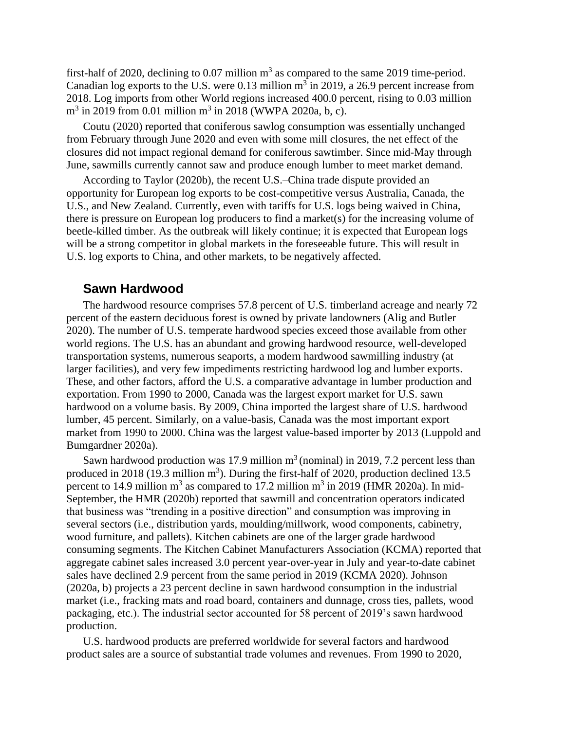first-half of 2020, declining to 0.07 million  $m<sup>3</sup>$  as compared to the same 2019 time-period. Canadian log exports to the U.S. were 0.13 million  $m^3$  in 2019, a 26.9 percent increase from 2018. Log imports from other World regions increased 400.0 percent, rising to 0.03 million  $m^3$  in 2019 from 0.01 million  $m^3$  in 2018 (WWPA 2020a, b, c).

Coutu (2020) reported that coniferous sawlog consumption was essentially unchanged from February through June 2020 and even with some mill closures, the net effect of the closures did not impact regional demand for coniferous sawtimber. Since mid-May through June, sawmills currently cannot saw and produce enough lumber to meet market demand.

According to Taylor (2020b), the recent U.S.–China trade dispute provided an opportunity for European log exports to be cost-competitive versus Australia, Canada, the U.S., and New Zealand. Currently, even with tariffs for U.S. logs being waived in China, there is pressure on European log producers to find a market(s) for the increasing volume of beetle-killed timber. As the outbreak will likely continue; it is expected that European logs will be a strong competitor in global markets in the foreseeable future. This will result in U.S. log exports to China, and other markets, to be negatively affected.

#### **Sawn Hardwood**

The hardwood resource comprises 57.8 percent of U.S. timberland acreage and nearly 72 percent of the eastern deciduous forest is owned by private landowners (Alig and Butler 2020). The number of U.S. temperate hardwood species exceed those available from other world regions. The U.S. has an abundant and growing hardwood resource, well-developed transportation systems, numerous seaports, a modern hardwood sawmilling industry (at larger facilities), and very few impediments restricting hardwood log and lumber exports. These, and other factors, afford the U.S. a comparative advantage in lumber production and exportation. From 1990 to 2000, Canada was the largest export market for U.S. sawn hardwood on a volume basis. By 2009, China imported the largest share of U.S. hardwood lumber, 45 percent. Similarly, on a value-basis, Canada was the most important export market from 1990 to 2000. China was the largest value-based importer by 2013 (Luppold and Bumgardner 2020a).

Sawn hardwood production was 17.9 million  $m<sup>3</sup>$  (nominal) in 2019, 7.2 percent less than produced in 2018 (19.3 million  $m<sup>3</sup>$ ). During the first-half of 2020, production declined 13.5 percent to 14.9 million  $m^3$  as compared to 17.2 million  $m^3$  in 2019 (HMR 2020a). In mid-September, the HMR (2020b) reported that sawmill and concentration operators indicated that business was "trending in a positive direction" and consumption was improving in several sectors (i.e., distribution yards, moulding/millwork, wood components, cabinetry, wood furniture, and pallets). Kitchen cabinets are one of the larger grade hardwood consuming segments. The Kitchen Cabinet Manufacturers Association (KCMA) reported that aggregate cabinet sales increased 3.0 percent year-over-year in July and year-to-date cabinet sales have declined 2.9 percent from the same period in 2019 (KCMA 2020). Johnson (2020a, b) projects a 23 percent decline in sawn hardwood consumption in the industrial market (i.e., fracking mats and road board, containers and dunnage, cross ties, pallets, wood packaging, etc.). The industrial sector accounted for 58 percent of 2019's sawn hardwood production.

U.S. hardwood products are preferred worldwide for several factors and hardwood product sales are a source of substantial trade volumes and revenues. From 1990 to 2020,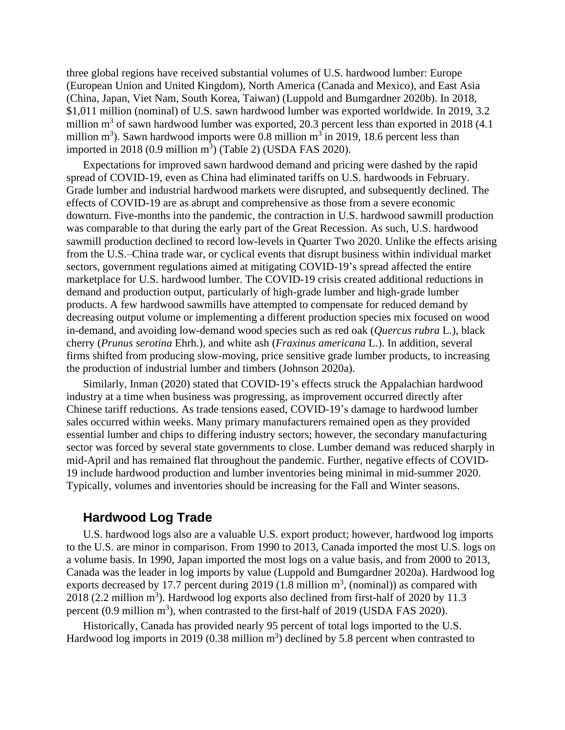three global regions have received substantial volumes of U.S. hardwood lumber: Europe (European Union and United Kingdom), North America (Canada and Mexico), and East Asia (China, Japan, Viet Nam, South Korea, Taiwan) (Luppold and Bumgardner 2020b). In 2018, \$1,011 million (nominal) of U.S. sawn hardwood lumber was exported worldwide. In 2019, 3.2 million  $m<sup>3</sup>$  of sawn hardwood lumber was exported, 20.3 percent less than exported in 2018 (4.1) million  $m^3$ ). Sawn hardwood imports were 0.8 million  $m^3$  in 2019, 18.6 percent less than imported in 2018 (0.9 million  $m<sup>3</sup>$ ) (Table 2) (USDA FAS 2020).

Expectations for improved sawn hardwood demand and pricing were dashed by the rapid spread of COVID-19, even as China had eliminated tariffs on U.S. hardwoods in February. Grade lumber and industrial hardwood markets were disrupted, and subsequently declined. The effects of COVID-19 are as abrupt and comprehensive as those from a severe economic downturn. Five-months into the pandemic, the contraction in U.S. hardwood sawmill production was comparable to that during the early part of the Great Recession. As such, U.S. hardwood sawmill production declined to record low-levels in Quarter Two 2020. Unlike the effects arising from the U.S.–China trade war, or cyclical events that disrupt business within individual market sectors, government regulations aimed at mitigating COVID-19's spread affected the entire marketplace for U.S. hardwood lumber. The COVID-19 crisis created additional reductions in demand and production output, particularly of high-grade lumber and high-grade lumber products. A few hardwood sawmills have attempted to compensate for reduced demand by decreasing output volume or implementing a different production species mix focused on wood in-demand, and avoiding low-demand wood species such as red oak (*Quercus rubra* L.), black cherry (*Prunus serotina* Ehrh.), and white ash (*Fraxinus americana* L.). In addition, several firms shifted from producing slow-moving, price sensitive grade lumber products, to increasing the production of industrial lumber and timbers (Johnson 2020a).

Similarly, Inman (2020) stated that COVID-19's effects struck the Appalachian hardwood industry at a time when business was progressing, as improvement occurred directly after Chinese tariff reductions. As trade tensions eased, COVID-19's damage to hardwood lumber sales occurred within weeks. Many primary manufacturers remained open as they provided essential lumber and chips to differing industry sectors; however, the secondary manufacturing sector was forced by several state governments to close. Lumber demand was reduced sharply in mid-April and has remained flat throughout the pandemic. Further, negative effects of COVID-19 include hardwood production and lumber inventories being minimal in mid-summer 2020. Typically, volumes and inventories should be increasing for the Fall and Winter seasons.

#### **Hardwood Log Trade**

U.S. hardwood logs also are a valuable U.S. export product; however, hardwood log imports to the U.S. are minor in comparison. From 1990 to 2013, Canada imported the most U.S. logs on a volume basis. In 1990, Japan imported the most logs on a value basis, and from 2000 to 2013, Canada was the leader in log imports by value (Luppold and Bumgardner 2020a). Hardwood log exports decreased by 17.7 percent during 2019  $(1.8 \text{ million m}^3, \text{(nominal)})$  as compared with  $2018$  (2.2 million m<sup>3</sup>). Hardwood log exports also declined from first-half of 2020 by 11.3 percent  $(0.9 \text{ million m}^3)$ , when contrasted to the first-half of 2019 (USDA FAS 2020).

Historically, Canada has provided nearly 95 percent of total logs imported to the U.S. Hardwood log imports in 2019 (0.38 million  $m<sup>3</sup>$ ) declined by 5.8 percent when contrasted to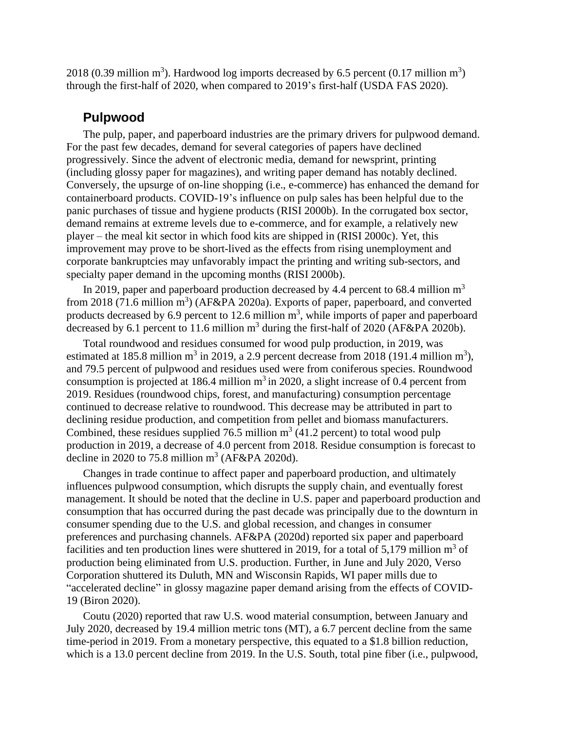2018 (0.39 million  $m^3$ ). Hardwood log imports decreased by 6.5 percent (0.17 million  $m^3$ ) through the first-half of 2020, when compared to 2019's first-half (USDA FAS 2020).

#### **Pulpwood**

The pulp, paper, and paperboard industries are the primary drivers for pulpwood demand. For the past few decades, demand for several categories of papers have declined progressively. Since the advent of electronic media, demand for newsprint, printing (including glossy paper for magazines), and writing paper demand has notably declined. Conversely, the upsurge of on-line shopping (i.e., e-commerce) has enhanced the demand for containerboard products. COVID-19's influence on pulp sales has been helpful due to the panic purchases of tissue and hygiene products (RISI 2000b). In the corrugated box sector, demand remains at extreme levels due to e-commerce, and for example, a relatively new player – the meal kit sector in which food kits are shipped in (RISI 2000c). Yet, this improvement may prove to be short-lived as the effects from rising unemployment and corporate bankruptcies may unfavorably impact the printing and writing sub-sectors, and specialty paper demand in the upcoming months (RISI 2000b).

In 2019, paper and paperboard production decreased by 4.4 percent to 68.4 million  $m<sup>3</sup>$ from 2018 (71.6 million  $m^3$ ) (AF&PA 2020a). Exports of paper, paperboard, and converted products decreased by 6.9 percent to 12.6 million  $m<sup>3</sup>$ , while imports of paper and paperboard decreased by 6.1 percent to 11.6 million  $m<sup>3</sup>$  during the first-half of 2020 (AF&PA 2020b).

Total roundwood and residues consumed for wood pulp production, in 2019, was estimated at 185.8 million m<sup>3</sup> in 2019, a 2.9 percent decrease from 2018 (191.4 million m<sup>3</sup>), and 79.5 percent of pulpwood and residues used were from coniferous species. Roundwood consumption is projected at 186.4 million  $m<sup>3</sup>$  in 2020, a slight increase of 0.4 percent from 2019. Residues (roundwood chips, forest, and manufacturing) consumption percentage continued to decrease relative to roundwood. This decrease may be attributed in part to declining residue production, and competition from pellet and biomass manufacturers. Combined, these residues supplied 76.5 million  $m^3$  (41.2 percent) to total wood pulp production in 2019, a decrease of 4.0 percent from 2018. Residue consumption is forecast to decline in 2020 to 75.8 million  $m^3$  (AF&PA 2020d).

Changes in trade continue to affect paper and paperboard production, and ultimately influences pulpwood consumption, which disrupts the supply chain, and eventually forest management. It should be noted that the decline in U.S. paper and paperboard production and consumption that has occurred during the past decade was principally due to the downturn in consumer spending due to the U.S. and global recession, and changes in consumer preferences and purchasing channels. AF&PA (2020d) reported six paper and paperboard facilities and ten production lines were shuttered in 2019, for a total of  $5,179$  million m<sup>3</sup> of production being eliminated from U.S. production. Further, in June and July 2020, Verso Corporation shuttered its Duluth, MN and Wisconsin Rapids, WI paper mills due to "accelerated decline" in glossy magazine paper demand arising from the effects of COVID-19 (Biron 2020).

Coutu (2020) reported that raw U.S. wood material consumption, between January and July 2020, decreased by 19.4 million metric tons (MT), a 6.7 percent decline from the same time-period in 2019. From a monetary perspective, this equated to a \$1.8 billion reduction, which is a 13.0 percent decline from 2019. In the U.S. South, total pine fiber (i.e., pulpwood,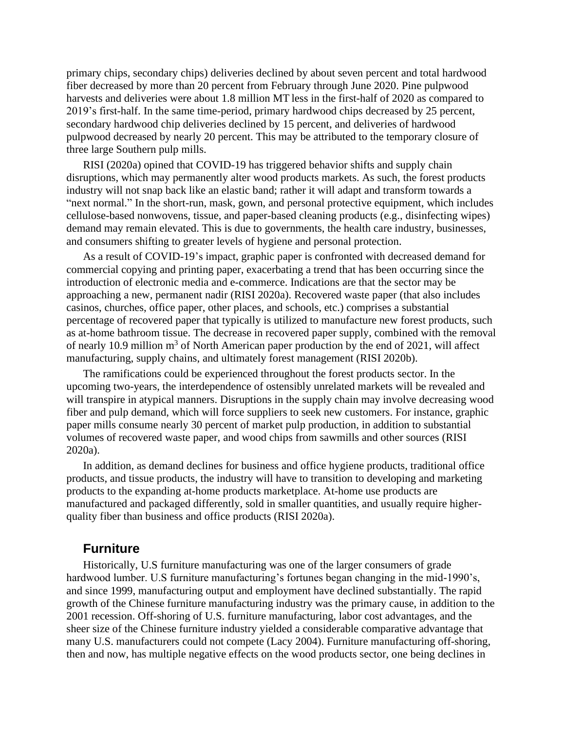primary chips, secondary chips) deliveries declined by about seven percent and total hardwood fiber decreased by more than 20 percent from February through June 2020. Pine pulpwood harvests and deliveries were about 1.8 million MT less in the first-half of 2020 as compared to 2019's first-half. In the same time-period, primary hardwood chips decreased by 25 percent, secondary hardwood chip deliveries declined by 15 percent, and deliveries of hardwood pulpwood decreased by nearly 20 percent. This may be attributed to the temporary closure of three large Southern pulp mills.

RISI (2020a) opined that COVID-19 has triggered behavior shifts and supply chain disruptions, which may permanently alter wood products markets. As such, the forest products industry will not snap back like an elastic band; rather it will adapt and transform towards a "next normal." In the short-run, mask, gown, and personal protective equipment, which includes cellulose-based nonwovens, tissue, and paper-based cleaning products (e.g., disinfecting wipes) demand may remain elevated. This is due to governments, the health care industry, businesses, and consumers shifting to greater levels of hygiene and personal protection.

As a result of COVID-19's impact, graphic paper is confronted with decreased demand for commercial copying and printing paper, exacerbating a trend that has been occurring since the introduction of electronic media and e-commerce. Indications are that the sector may be approaching a new, permanent nadir (RISI 2020a). Recovered waste paper (that also includes casinos, churches, office paper, other places, and schools, etc.) comprises a substantial percentage of recovered paper that typically is utilized to manufacture new forest products, such as at-home bathroom tissue. The decrease in recovered paper supply, combined with the removal of nearly 10.9 million  $m<sup>3</sup>$  of North American paper production by the end of 2021, will affect manufacturing, supply chains, and ultimately forest management (RISI 2020b).

The ramifications could be experienced throughout the forest products sector. In the upcoming two-years, the interdependence of ostensibly unrelated markets will be revealed and will transpire in atypical manners. Disruptions in the supply chain may involve decreasing wood fiber and pulp demand, which will force suppliers to seek new customers. For instance, graphic paper mills consume nearly 30 percent of market pulp production, in addition to substantial volumes of recovered waste paper, and wood chips from sawmills and other sources (RISI 2020a).

In addition, as demand declines for business and office hygiene products, traditional office products, and tissue products, the industry will have to transition to developing and marketing products to the expanding at-home products marketplace. At-home use products are manufactured and packaged differently, sold in smaller quantities, and usually require higherquality fiber than business and office products (RISI 2020a).

## **Furniture**

Historically, U.S furniture manufacturing was one of the larger consumers of grade hardwood lumber. U.S furniture manufacturing's fortunes began changing in the mid-1990's, and since 1999, manufacturing output and employment have declined substantially. The rapid growth of the Chinese furniture manufacturing industry was the primary cause, in addition to the 2001 recession. Off-shoring of U.S. furniture manufacturing, labor cost advantages, and the sheer size of the Chinese furniture industry yielded a considerable comparative advantage that many U.S. manufacturers could not compete (Lacy 2004). Furniture manufacturing off-shoring, then and now, has multiple negative effects on the wood products sector, one being declines in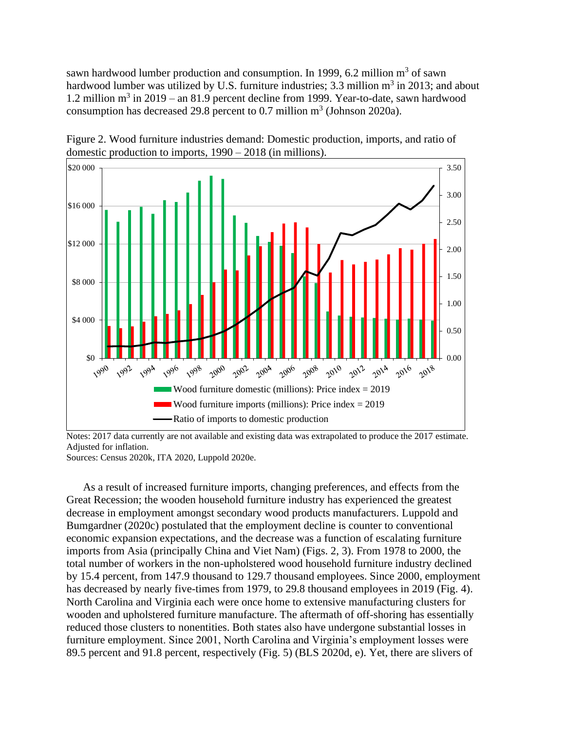sawn hardwood lumber production and consumption. In 1999, 6.2 million  $m^3$  of sawn hardwood lumber was utilized by U.S. furniture industries; 3.3 million  $m^3$  in 2013; and about 1.2 million  $m^3$  in 2019 – an 81.9 percent decline from 1999. Year-to-date, sawn hardwood consumption has decreased 29.8 percent to  $0.7$  million  $m<sup>3</sup>$  (Johnson 2020a).



Figure 2. Wood furniture industries demand: Domestic production, imports, and ratio of domestic production to imports, 1990 – 2018 (in millions).

Notes: 2017 data currently are not available and existing data was extrapolated to produce the 2017 estimate. Adjusted for inflation.

Sources: Census 2020k, ITA 2020, Luppold 2020e.

As a result of increased furniture imports, changing preferences, and effects from the Great Recession; the wooden household furniture industry has experienced the greatest decrease in employment amongst secondary wood products manufacturers. Luppold and Bumgardner (2020c) postulated that the employment decline is counter to conventional economic expansion expectations, and the decrease was a function of escalating furniture imports from Asia (principally China and Viet Nam) (Figs. 2, 3). From 1978 to 2000, the total number of workers in the non-upholstered wood household furniture industry declined by 15.4 percent, from 147.9 thousand to 129.7 thousand employees. Since 2000, employment has decreased by nearly five-times from 1979, to 29.8 thousand employees in 2019 (Fig. 4). North Carolina and Virginia each were once home to extensive manufacturing clusters for wooden and upholstered furniture manufacture. The aftermath of off-shoring has essentially reduced those clusters to nonentities. Both states also have undergone substantial losses in furniture employment. Since 2001, North Carolina and Virginia's employment losses were 89.5 percent and 91.8 percent, respectively (Fig. 5) (BLS 2020d, e). Yet, there are slivers of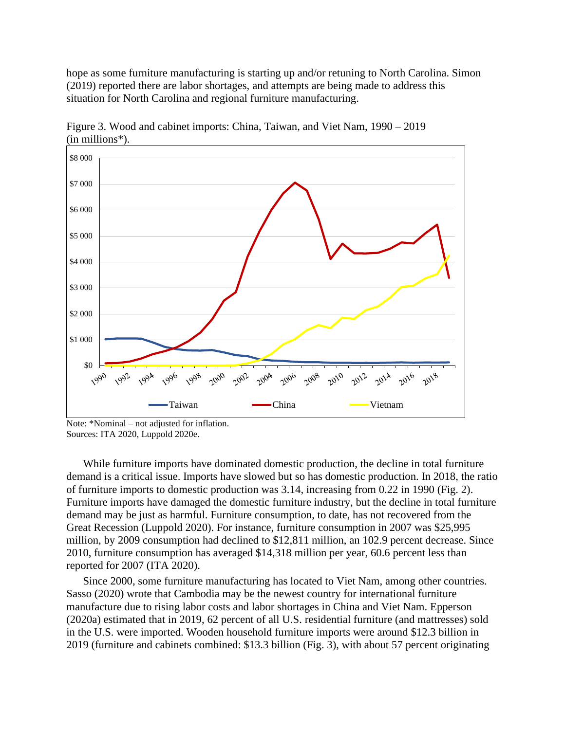hope as some furniture manufacturing is starting up and/or retuning to North Carolina. Simon (2019) reported there are labor shortages, and attempts are being made to address this situation for North Carolina and regional furniture manufacturing.



Figure 3. Wood and cabinet imports: China, Taiwan, and Viet Nam, 1990 – 2019 (in millions\*).

While furniture imports have dominated domestic production, the decline in total furniture demand is a critical issue. Imports have slowed but so has domestic production. In 2018, the ratio of furniture imports to domestic production was 3.14, increasing from 0.22 in 1990 (Fig. 2). Furniture imports have damaged the domestic furniture industry, but the decline in total furniture demand may be just as harmful. Furniture consumption, to date, has not recovered from the Great Recession (Luppold 2020). For instance, furniture consumption in 2007 was \$25,995 million, by 2009 consumption had declined to \$12,811 million, an 102.9 percent decrease. Since 2010, furniture consumption has averaged \$14,318 million per year, 60.6 percent less than reported for 2007 (ITA 2020).

Since 2000, some furniture manufacturing has located to Viet Nam, among other countries. Sasso (2020) wrote that Cambodia may be the newest country for international furniture manufacture due to rising labor costs and labor shortages in China and Viet Nam. Epperson (2020a) estimated that in 2019, 62 percent of all U.S. residential furniture (and mattresses) sold in the U.S. were imported. Wooden household furniture imports were around \$12.3 billion in 2019 (furniture and cabinets combined: \$13.3 billion (Fig. 3), with about 57 percent originating

Note: \*Nominal – not adjusted for inflation. Sources: ITA 2020, Luppold 2020e.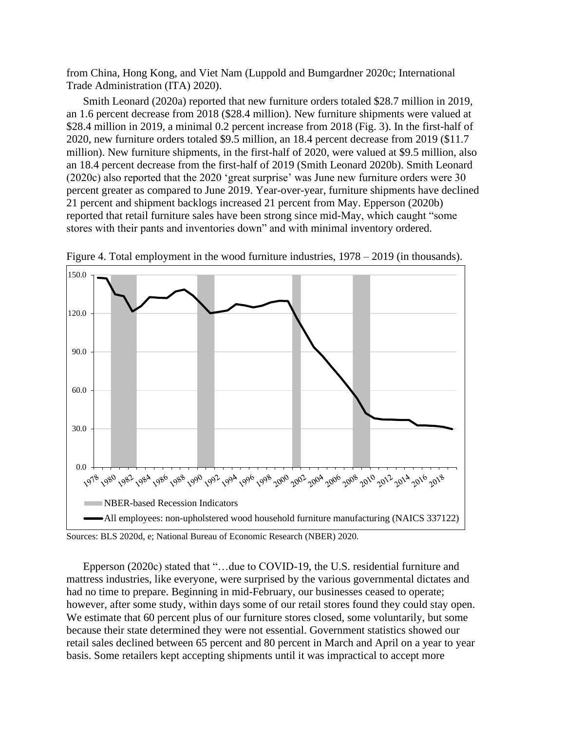from China, Hong Kong, and Viet Nam (Luppold and Bumgardner 2020c; International Trade Administration (ITA) 2020).

Smith Leonard (2020a) reported that new furniture orders totaled \$28.7 million in 2019, an 1.6 percent decrease from 2018 (\$28.4 million). New furniture shipments were valued at \$28.4 million in 2019, a minimal 0.2 percent increase from 2018 (Fig. 3). In the first-half of 2020, new furniture orders totaled \$9.5 million, an 18.4 percent decrease from 2019 (\$11.7 million). New furniture shipments, in the first-half of 2020, were valued at \$9.5 million, also an 18.4 percent decrease from the first-half of 2019 (Smith Leonard 2020b). Smith Leonard (2020c) also reported that the 2020 'great surprise' was June new furniture orders were 30 percent greater as compared to June 2019. Year-over-year, furniture shipments have declined 21 percent and shipment backlogs increased 21 percent from May. Epperson (2020b) reported that retail furniture sales have been strong since mid-May, which caught "some stores with their pants and inventories down" and with minimal inventory ordered.



Figure 4. Total employment in the wood furniture industries, 1978 – 2019 (in thousands).

Epperson (2020c) stated that "…due to COVID-19, the U.S. residential furniture and mattress industries, like everyone, were surprised by the various governmental dictates and had no time to prepare. Beginning in mid-February, our businesses ceased to operate; however, after some study, within days some of our retail stores found they could stay open. We estimate that 60 percent plus of our furniture stores closed, some voluntarily, but some because their state determined they were not essential. Government statistics showed our retail sales declined between 65 percent and 80 percent in March and April on a year to year basis. Some retailers kept accepting shipments until it was impractical to accept more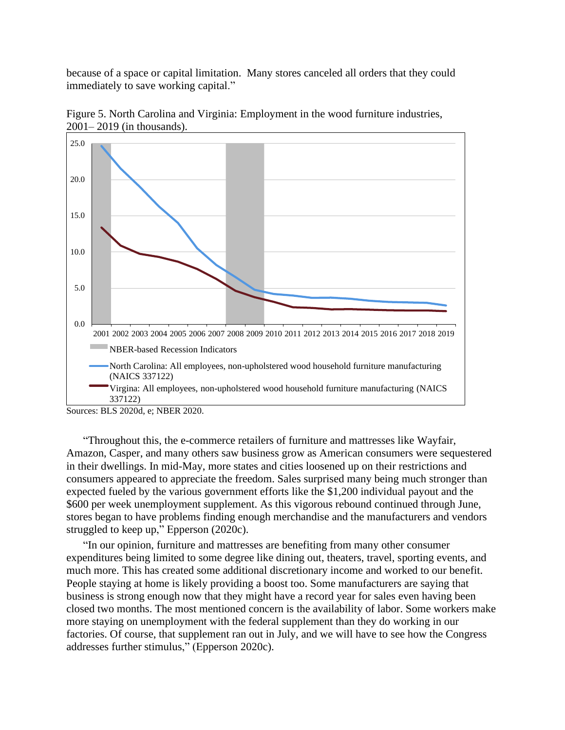because of a space or capital limitation. Many stores canceled all orders that they could immediately to save working capital."



Figure 5. North Carolina and Virginia: Employment in the wood furniture industries, 2001– 2019 (in thousands).

"Throughout this, the e-commerce retailers of furniture and mattresses like Wayfair, Amazon, Casper, and many others saw business grow as American consumers were sequestered in their dwellings. In mid-May, more states and cities loosened up on their restrictions and consumers appeared to appreciate the freedom. Sales surprised many being much stronger than expected fueled by the various government efforts like the \$1,200 individual payout and the \$600 per week unemployment supplement. As this vigorous rebound continued through June, stores began to have problems finding enough merchandise and the manufacturers and vendors struggled to keep up," Epperson (2020c).

"In our opinion, furniture and mattresses are benefiting from many other consumer expenditures being limited to some degree like dining out, theaters, travel, sporting events, and much more. This has created some additional discretionary income and worked to our benefit. People staying at home is likely providing a boost too. Some manufacturers are saying that business is strong enough now that they might have a record year for sales even having been closed two months. The most mentioned concern is the availability of labor. Some workers make more staying on unemployment with the federal supplement than they do working in our factories. Of course, that supplement ran out in July, and we will have to see how the Congress addresses further stimulus," (Epperson 2020c).

Sources: BLS 2020d, e; NBER 2020.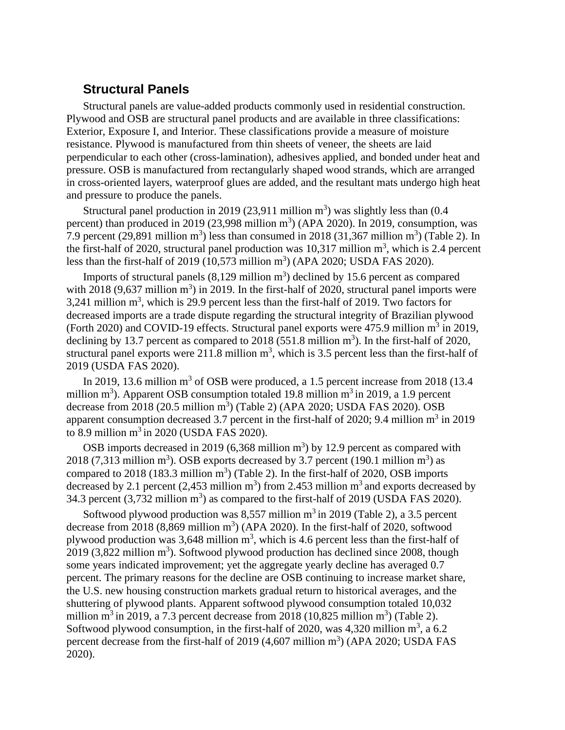## **Structural Panels**

Structural panels are value-added products commonly used in residential construction. Plywood and OSB are structural panel products and are available in three classifications: Exterior, Exposure I, and Interior. These classifications provide a measure of moisture resistance. Plywood is manufactured from thin sheets of veneer, the sheets are laid perpendicular to each other (cross-lamination), adhesives applied, and bonded under heat and pressure. OSB is manufactured from rectangularly shaped wood strands, which are arranged in cross-oriented layers, waterproof glues are added, and the resultant mats undergo high heat and pressure to produce the panels.

Structural panel production in 2019 (23,911 million  $m<sup>3</sup>$ ) was slightly less than (0.4 percent) than produced in 2019 (23,998 million  $m<sup>3</sup>$ ) (APA 2020). In 2019, consumption, was 7.9 percent (29,891 million m<sup>3</sup>) less than consumed in 2018 (31,367 million m<sup>3</sup>) (Table 2). In the first-half of 2020, structural panel production was  $10,317$  million  $m<sup>3</sup>$ , which is 2.4 percent less than the first-half of 2019 (10,573 million  $m<sup>3</sup>$ ) (APA 2020; USDA FAS 2020).

Imports of structural panels  $(8,129 \text{ million m}^3)$  declined by 15.6 percent as compared with 2018 (9,637 million  $m<sup>3</sup>$ ) in 2019. In the first-half of 2020, structural panel imports were 3,241 million  $m^3$ , which is 29.9 percent less than the first-half of 2019. Two factors for decreased imports are a trade dispute regarding the structural integrity of Brazilian plywood (Forth 2020) and COVID-19 effects. Structural panel exports were 475.9 million  $m^3$  in 2019, declining by 13.7 percent as compared to 2018 (551.8 million  $m<sup>3</sup>$ ). In the first-half of 2020, structural panel exports were 211.8 million  $m<sup>3</sup>$ , which is 3.5 percent less than the first-half of 2019 (USDA FAS 2020).

In 2019, 13.6 million  $m<sup>3</sup>$  of OSB were produced, a 1.5 percent increase from 2018 (13.4) million m<sup>3</sup>). Apparent OSB consumption totaled 19.8 million m<sup>3</sup> in 2019, a 1.9 percent decrease from 2018 (20.5 million  $m^3$ ) (Table 2) (APA 2020; USDA FAS 2020). OSB apparent consumption decreased 3.7 percent in the first-half of 2020; 9.4 million  $m^3$  in 2019 to 8.9 million  $m^3$  in 2020 (USDA FAS 2020).

OSB imports decreased in 2019  $(6,368 \text{ million m}^3)$  by 12.9 percent as compared with 2018 (7,313 million m<sup>3</sup>). OSB exports decreased by 3.7 percent (190.1 million m<sup>3</sup>) as compared to 2018 (183.3 million  $m<sup>3</sup>$ ) (Table 2). In the first-half of 2020, OSB imports decreased by 2.1 percent (2,453 million  $m<sup>3</sup>$ ) from 2.453 million  $m<sup>3</sup>$  and exports decreased by 34.3 percent  $(3,732 \text{ million m}^3)$  as compared to the first-half of 2019 (USDA FAS 2020).

Softwood plywood production was  $8,557$  million m<sup>3</sup> in 2019 (Table 2), a 3.5 percent decrease from 2018  $(8,869 \text{ million m}^3)$  (APA 2020). In the first-half of 2020, softwood plywood production was  $3,648$  million m<sup>3</sup>, which is 4.6 percent less than the first-half of  $2019$  (3,822 million m<sup>3</sup>). Softwood plywood production has declined since 2008, though some years indicated improvement; yet the aggregate yearly decline has averaged 0.7 percent. The primary reasons for the decline are OSB continuing to increase market share, the U.S. new housing construction markets gradual return to historical averages, and the shuttering of plywood plants. Apparent softwood plywood consumption totaled 10,032 million m<sup>3</sup> in 2019, a 7.3 percent decrease from 2018 (10,825 million m<sup>3</sup>) (Table 2). Softwood plywood consumption, in the first-half of 2020, was 4,320 million  $m^3$ , a 6.2 percent decrease from the first-half of 2019  $(4,607 \text{ million m}^3)$  (APA 2020; USDA FAS 2020).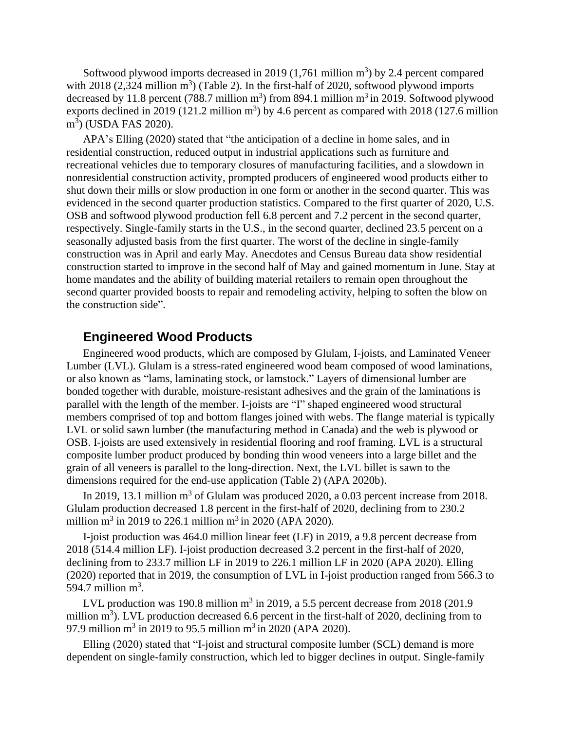Softwood plywood imports decreased in 2019  $(1,761 \text{ million m}^3)$  by 2.4 percent compared with 2018  $(2,324 \text{ million m}^3)$  (Table 2). In the first-half of 2020, softwood plywood imports decreased by 11.8 percent (788.7 million  $m^3$ ) from 894.1 million  $m^3$  in 2019. Softwood plywood exports declined in 2019 (121.2 million  $m<sup>3</sup>$ ) by 4.6 percent as compared with 2018 (127.6 million m<sup>3</sup>) (USDA FAS 2020).

APA's Elling (2020) stated that "the anticipation of a decline in home sales, and in residential construction, reduced output in industrial applications such as furniture and recreational vehicles due to temporary closures of manufacturing facilities, and a slowdown in nonresidential construction activity, prompted producers of engineered wood products either to shut down their mills or slow production in one form or another in the second quarter. This was evidenced in the second quarter production statistics. Compared to the first quarter of 2020, U.S. OSB and softwood plywood production fell 6.8 percent and 7.2 percent in the second quarter, respectively. Single-family starts in the U.S., in the second quarter, declined 23.5 percent on a seasonally adjusted basis from the first quarter. The worst of the decline in single-family construction was in April and early May. Anecdotes and Census Bureau data show residential construction started to improve in the second half of May and gained momentum in June. Stay at home mandates and the ability of building material retailers to remain open throughout the second quarter provided boosts to repair and remodeling activity, helping to soften the blow on the construction side".

#### **Engineered Wood Products**

Engineered wood products, which are composed by Glulam, I-joists, and Laminated Veneer Lumber (LVL). Glulam is a stress-rated engineered wood beam composed of wood laminations, or also known as "lams, laminating stock, or lamstock." Layers of dimensional lumber are bonded together with durable, moisture-resistant adhesives and the grain of the laminations is parallel with the length of the member. I-joists are "I" shaped engineered wood structural members comprised of top and bottom flanges joined with webs. The flange material is typically LVL or solid sawn lumber (the manufacturing method in Canada) and the web is plywood or OSB. I-joists are used extensively in residential flooring and roof framing. LVL is a structural composite lumber product produced by bonding thin wood veneers into a large billet and the grain of all veneers is parallel to the long-direction. Next, the LVL billet is sawn to the dimensions required for the end-use application (Table 2) (APA 2020b).

In 2019, 13.1 million  $m<sup>3</sup>$  of Glulam was produced 2020, a 0.03 percent increase from 2018. Glulam production decreased 1.8 percent in the first-half of 2020, declining from to 230.2 million m<sup>3</sup> in 2019 to 226.1 million m<sup>3</sup> in 2020 (APA 2020).

I-joist production was 464.0 million linear feet (LF) in 2019, a 9.8 percent decrease from 2018 (514.4 million LF). I-joist production decreased 3.2 percent in the first-half of 2020, declining from to 233.7 million LF in 2019 to 226.1 million LF in 2020 (APA 2020). Elling (2020) reported that in 2019, the consumption of LVL in I-joist production ranged from 566.3 to 594.7 million  $m^3$ .

LVL production was 190.8 million  $m^3$  in 2019, a 5.5 percent decrease from 2018 (201.9 million  $m<sup>3</sup>$ ). LVL production decreased 6.6 percent in the first-half of 2020, declining from to 97.9 million m<sup>3</sup> in 2019 to 95.5 million m<sup>3</sup> in 2020 (APA 2020).

Elling (2020) stated that "I-joist and structural composite lumber (SCL) demand is more dependent on single-family construction, which led to bigger declines in output. Single-family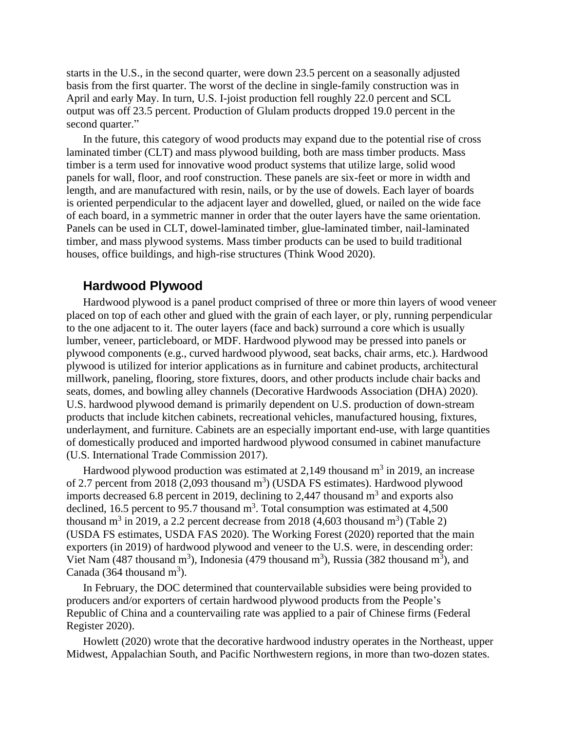starts in the U.S., in the second quarter, were down 23.5 percent on a seasonally adjusted basis from the first quarter. The worst of the decline in single-family construction was in April and early May. In turn, U.S. I-joist production fell roughly 22.0 percent and SCL output was off 23.5 percent. Production of Glulam products dropped 19.0 percent in the second quarter."

In the future, this category of wood products may expand due to the potential rise of cross laminated timber (CLT) and mass plywood building, both are mass timber products. Mass timber is a term used for innovative wood product systems that utilize large, solid wood panels for wall, floor, and roof construction. These panels are six-feet or more in width and length, and are manufactured with resin, nails, or by the use of dowels. Each layer of boards is oriented perpendicular to the adjacent layer and dowelled, glued, or nailed on the wide face of each board, in a symmetric manner in order that the outer layers have the same orientation. Panels can be used in CLT, dowel-laminated timber, glue-laminated timber, nail-laminated timber, and mass plywood systems. Mass timber products can be used to build traditional houses, office buildings, and high-rise structures (Think Wood 2020).

#### **Hardwood Plywood**

Hardwood plywood is a panel product comprised of three or more thin layers of wood veneer placed on top of each other and glued with the grain of each layer, or ply, running perpendicular to the one adjacent to it. The outer layers (face and back) surround a core which is usually lumber, veneer, particleboard, or MDF. Hardwood plywood may be pressed into panels or plywood components (e.g., curved hardwood plywood, seat backs, chair arms, etc.). Hardwood plywood is utilized for interior applications as in furniture and cabinet products, architectural millwork, paneling, flooring, store fixtures, doors, and other products include chair backs and seats, domes, and bowling alley channels (Decorative Hardwoods Association (DHA) 2020). U.S. hardwood plywood demand is primarily dependent on U.S. production of down-stream products that include kitchen cabinets, recreational vehicles, manufactured housing, fixtures, underlayment, and furniture. Cabinets are an especially important end-use, with large quantities of domestically produced and imported hardwood plywood consumed in cabinet manufacture (U.S. International Trade Commission 2017).

Hardwood plywood production was estimated at 2,149 thousand  $m<sup>3</sup>$  in 2019, an increase of 2.7 percent from 2018 (2,093 thousand  $m<sup>3</sup>$ ) (USDA FS estimates). Hardwood plywood imports decreased 6.8 percent in 2019, declining to 2,447 thousand  $m<sup>3</sup>$  and exports also declined, 16.5 percent to 95.7 thousand  $m<sup>3</sup>$ . Total consumption was estimated at 4,500 thousand m<sup>3</sup> in 2019, a 2.2 percent decrease from 2018 (4,603 thousand m<sup>3</sup>) (Table 2) (USDA FS estimates, USDA FAS 2020). The Working Forest (2020) reported that the main exporters (in 2019) of hardwood plywood and veneer to the U.S. were, in descending order: Viet Nam (487 thousand  $m^3$ ), Indonesia (479 thousand  $m^3$ ), Russia (382 thousand  $m^3$ ), and Canada (364 thousand  $m<sup>3</sup>$ ).

In February, the DOC determined that countervailable subsidies were being provided to producers and/or exporters of certain hardwood plywood products from the People's Republic of China and a countervailing rate was applied to a pair of Chinese firms (Federal Register 2020).

Howlett (2020) wrote that the decorative hardwood industry operates in the Northeast, upper Midwest, Appalachian South, and Pacific Northwestern regions, in more than two-dozen states.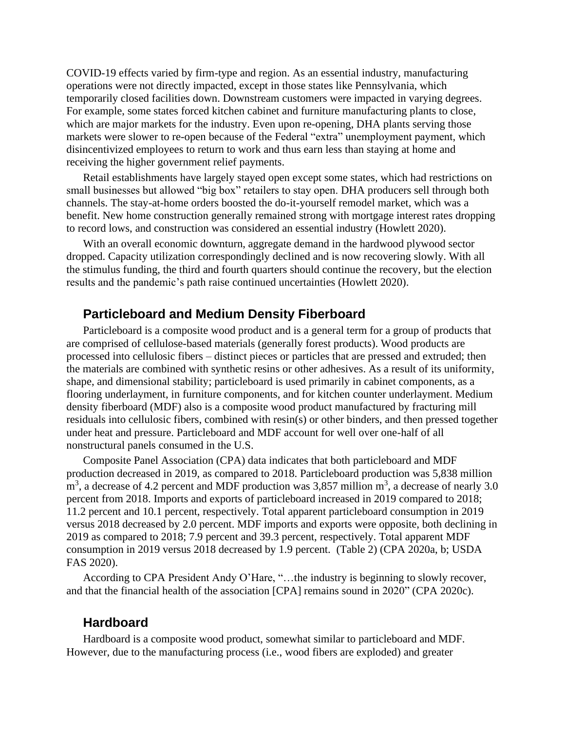COVID-19 effects varied by firm-type and region. As an essential industry, manufacturing operations were not directly impacted, except in those states like Pennsylvania, which temporarily closed facilities down. Downstream customers were impacted in varying degrees. For example, some states forced kitchen cabinet and furniture manufacturing plants to close, which are major markets for the industry. Even upon re-opening, DHA plants serving those markets were slower to re-open because of the Federal "extra" unemployment payment, which disincentivized employees to return to work and thus earn less than staying at home and receiving the higher government relief payments.

Retail establishments have largely stayed open except some states, which had restrictions on small businesses but allowed "big box" retailers to stay open. DHA producers sell through both channels. The stay-at-home orders boosted the do-it-yourself remodel market, which was a benefit. New home construction generally remained strong with mortgage interest rates dropping to record lows, and construction was considered an essential industry (Howlett 2020).

With an overall economic downturn, aggregate demand in the hardwood plywood sector dropped. Capacity utilization correspondingly declined and is now recovering slowly. With all the stimulus funding, the third and fourth quarters should continue the recovery, but the election results and the pandemic's path raise continued uncertainties (Howlett 2020).

#### **Particleboard and Medium Density Fiberboard**

Particleboard is a composite wood product and is a general term for a group of products that are comprised of cellulose-based materials (generally forest products). Wood products are processed into cellulosic fibers – distinct pieces or particles that are pressed and extruded; then the materials are combined with synthetic resins or other adhesives. As a result of its uniformity, shape, and dimensional stability; particleboard is used primarily in cabinet components, as a flooring underlayment, in furniture components, and for kitchen counter underlayment. Medium density fiberboard (MDF) also is a composite wood product manufactured by fracturing mill residuals into cellulosic fibers, combined with resin(s) or other binders, and then pressed together under heat and pressure. Particleboard and MDF account for well over one-half of all nonstructural panels consumed in the U.S.

Composite Panel Association (CPA) data indicates that both particleboard and MDF production decreased in 2019, as compared to 2018. Particleboard production was 5,838 million  $\text{m}^3$ , a decrease of 4.2 percent and MDF production was 3,857 million  $\text{m}^3$ , a decrease of nearly 3.0 percent from 2018. Imports and exports of particleboard increased in 2019 compared to 2018; 11.2 percent and 10.1 percent, respectively. Total apparent particleboard consumption in 2019 versus 2018 decreased by 2.0 percent. MDF imports and exports were opposite, both declining in 2019 as compared to 2018; 7.9 percent and 39.3 percent, respectively. Total apparent MDF consumption in 2019 versus 2018 decreased by 1.9 percent. (Table 2) (CPA 2020a, b; USDA FAS 2020).

According to CPA President Andy O'Hare, "…the industry is beginning to slowly recover, and that the financial health of the association [CPA] remains sound in 2020" (CPA 2020c).

#### **Hardboard**

Hardboard is a composite wood product, somewhat similar to particleboard and MDF. However, due to the manufacturing process (i.e., wood fibers are exploded) and greater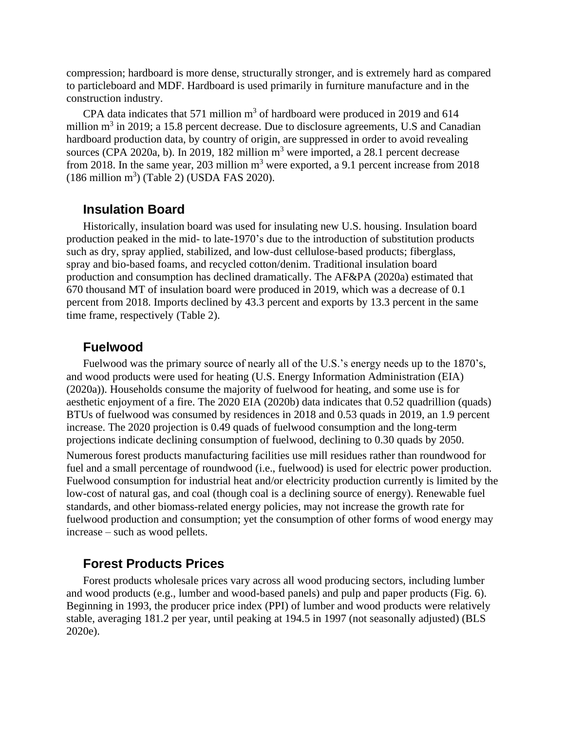compression; hardboard is more dense, structurally stronger, and is extremely hard as compared to particleboard and MDF. Hardboard is used primarily in furniture manufacture and in the construction industry.

CPA data indicates that 571 million  $m<sup>3</sup>$  of hardboard were produced in 2019 and 614 million  $m^3$  in 2019; a 15.8 percent decrease. Due to disclosure agreements, U.S and Canadian hardboard production data, by country of origin, are suppressed in order to avoid revealing sources (CPA 2020a, b). In 2019, 182 million  $m<sup>3</sup>$  were imported, a 28.1 percent decrease from 2018. In the same year, 203 million  $m<sup>3</sup>$  were exported, a 9.1 percent increase from 2018  $(186 \text{ million m}^3)$  (Table 2) (USDA FAS 2020).

## **Insulation Board**

Historically, insulation board was used for insulating new U.S. housing. Insulation board production peaked in the mid- to late-1970's due to the introduction of substitution products such as dry, spray applied, stabilized, and low-dust cellulose-based products; fiberglass, spray and bio-based foams, and recycled cotton/denim. Traditional insulation board production and consumption has declined dramatically. The AF&PA (2020a) estimated that 670 thousand MT of insulation board were produced in 2019, which was a decrease of 0.1 percent from 2018. Imports declined by 43.3 percent and exports by 13.3 percent in the same time frame, respectively (Table 2).

#### **Fuelwood**

Fuelwood was the primary source of nearly all of the U.S.'s energy needs up to the 1870's, and wood products were used for heating (U.S. Energy Information Administration (EIA) (2020a)). Households consume the majority of fuelwood for heating, and some use is for aesthetic enjoyment of a fire. The 2020 EIA (2020b) data indicates that 0.52 quadrillion (quads) BTUs of fuelwood was consumed by residences in 2018 and 0.53 quads in 2019, an 1.9 percent increase. The 2020 projection is 0.49 quads of fuelwood consumption and the long-term projections indicate declining consumption of fuelwood, declining to 0.30 quads by 2050. Numerous forest products manufacturing facilities use mill residues rather than roundwood for fuel and a small percentage of roundwood (i.e., fuelwood) is used for electric power production. Fuelwood consumption for industrial heat and/or electricity production currently is limited by the low-cost of natural gas, and coal (though coal is a declining source of energy). Renewable fuel standards, and other biomass-related energy policies, may not increase the growth rate for fuelwood production and consumption; yet the consumption of other forms of wood energy may increase – such as wood pellets.

## **Forest Products Prices**

Forest products wholesale prices vary across all wood producing sectors, including lumber and wood products (e.g., lumber and wood-based panels) and pulp and paper products (Fig. 6). Beginning in 1993, the producer price index (PPI) of lumber and wood products were relatively stable, averaging 181.2 per year, until peaking at 194.5 in 1997 (not seasonally adjusted) (BLS 2020e).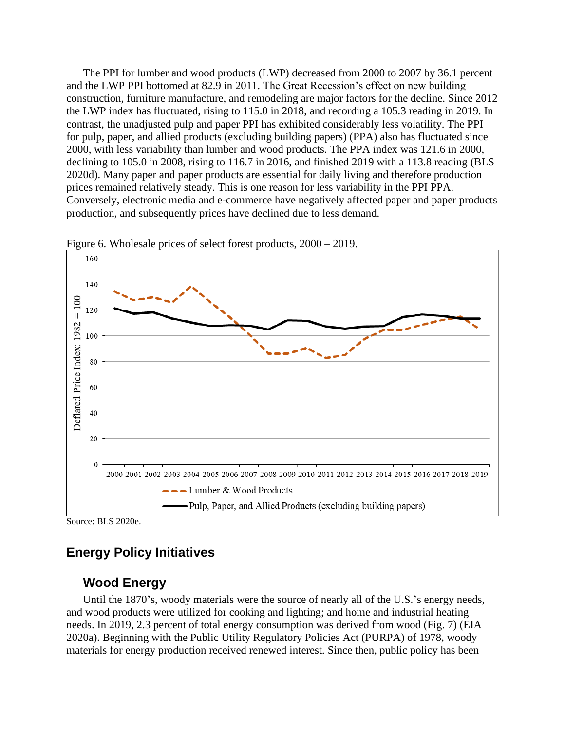The PPI for lumber and wood products (LWP) decreased from 2000 to 2007 by 36.1 percent and the LWP PPI bottomed at 82.9 in 2011. The Great Recession's effect on new building construction, furniture manufacture, and remodeling are major factors for the decline. Since 2012 the LWP index has fluctuated, rising to 115.0 in 2018, and recording a 105.3 reading in 2019. In contrast, the unadjusted pulp and paper PPI has exhibited considerably less volatility. The PPI for pulp, paper, and allied products (excluding building papers) (PPA) also has fluctuated since 2000, with less variability than lumber and wood products. The PPA index was 121.6 in 2000, declining to 105.0 in 2008, rising to 116.7 in 2016, and finished 2019 with a 113.8 reading (BLS 2020d). Many paper and paper products are essential for daily living and therefore production prices remained relatively steady. This is one reason for less variability in the PPI PPA. Conversely, electronic media and e-commerce have negatively affected paper and paper products production, and subsequently prices have declined due to less demand.



Figure 6. Wholesale prices of select forest products, 2000 – 2019.

Source: BLS 2020e.

# **Energy Policy Initiatives**

# **Wood Energy**

Until the 1870's, woody materials were the source of nearly all of the U.S.'s energy needs, and wood products were utilized for cooking and lighting; and home and industrial heating needs. In 2019, 2.3 percent of total energy consumption was derived from wood (Fig. 7) (EIA 2020a). Beginning with the Public Utility Regulatory Policies Act (PURPA) of 1978, woody materials for energy production received renewed interest. Since then, public policy has been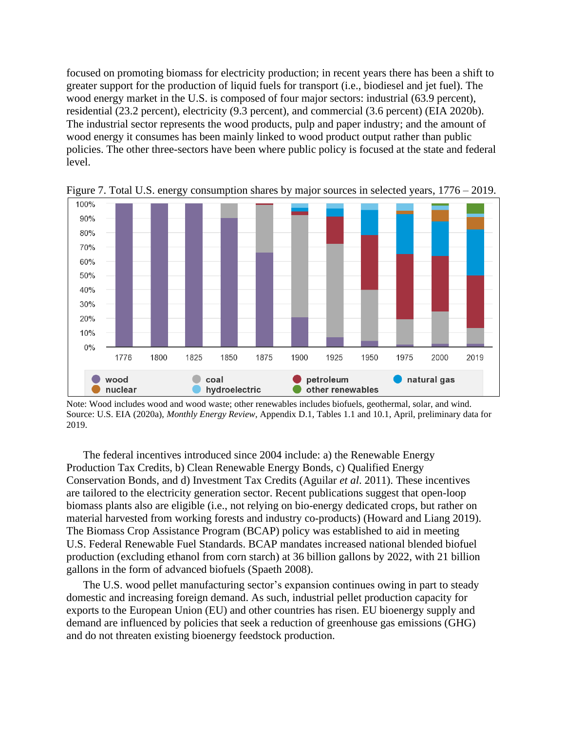focused on promoting biomass for electricity production; in recent years there has been a shift to greater support for the production of liquid fuels for transport (i.e., biodiesel and jet fuel). The wood energy market in the U.S. is composed of four major sectors: industrial (63.9 percent), residential (23.2 percent), electricity (9.3 percent), and commercial (3.6 percent) (EIA 2020b). The industrial sector represents the wood products, pulp and paper industry; and the amount of wood energy it consumes has been mainly linked to wood product output rather than public policies. The other three-sectors have been where public policy is focused at the state and federal level.



Figure 7. Total U.S. energy consumption shares by major sources in selected years, 1776 – 2019.

Note: Wood includes wood and wood waste; other renewables includes biofuels, geothermal, solar, and wind. Source: U.S. EIA (2020a), *Monthly Energy Review*, Appendix D.1, Tables 1.1 and 10.1, April, preliminary data for 2019.

The federal incentives introduced since 2004 include: a) the Renewable Energy Production Tax Credits, b) Clean Renewable Energy Bonds, c) Qualified Energy Conservation Bonds, and d) Investment Tax Credits (Aguilar *et al*. 2011). These incentives are tailored to the electricity generation sector. Recent publications suggest that open-loop biomass plants also are eligible (i.e., not relying on bio-energy dedicated crops, but rather on material harvested from working forests and industry co-products) (Howard and Liang 2019). The Biomass Crop Assistance Program (BCAP) policy was established to aid in meeting U.S. Federal Renewable Fuel Standards. BCAP mandates increased national blended biofuel production (excluding ethanol from corn starch) at 36 billion gallons by 2022, with 21 billion gallons in the form of advanced biofuels (Spaeth 2008).

The U.S. wood pellet manufacturing sector's expansion continues owing in part to steady domestic and increasing foreign demand. As such, industrial pellet production capacity for exports to the European Union (EU) and other countries has risen. EU bioenergy supply and demand are influenced by policies that seek a reduction of greenhouse gas emissions (GHG) and do not threaten existing bioenergy feedstock production.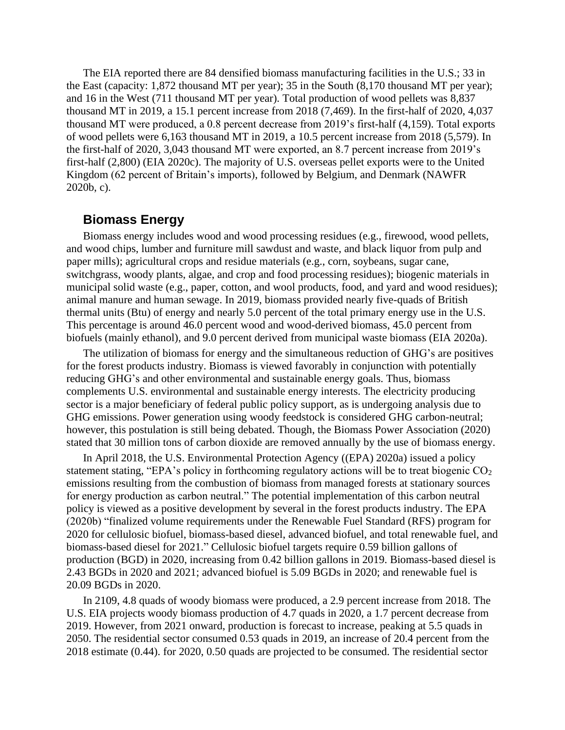The EIA reported there are 84 densified biomass manufacturing facilities in the U.S.; 33 in the East (capacity: 1,872 thousand MT per year); 35 in the South (8,170 thousand MT per year); and 16 in the West (711 thousand MT per year). Total production of wood pellets was 8,837 thousand MT in 2019, a 15.1 percent increase from 2018 (7,469). In the first-half of 2020, 4,037 thousand MT were produced, a 0.8 percent decrease from 2019's first-half (4,159). Total exports of wood pellets were 6,163 thousand MT in 2019, a 10.5 percent increase from 2018 (5,579). In the first-half of 2020, 3,043 thousand MT were exported, an 8.7 percent increase from 2019's first-half (2,800) (EIA 2020c). The majority of U.S. overseas pellet exports were to the United Kingdom (62 percent of Britain's imports), followed by Belgium, and Denmark (NAWFR 2020b, c).

# **Biomass Energy**

Biomass energy includes wood and wood processing residues (e.g., firewood, wood pellets, and wood chips, lumber and furniture mill sawdust and waste, and black liquor from pulp and paper mills); agricultural crops and residue materials (e.g., corn, soybeans, sugar cane, switchgrass, woody plants, algae, and crop and food processing residues); biogenic materials in municipal solid waste (e.g., paper, cotton, and wool products, food, and yard and wood residues); animal manure and human sewage. In 2019, biomass provided nearly five-quads of British thermal units (Btu) of energy and nearly 5.0 percent of the total primary energy use in the U.S. This percentage is around 46.0 percent wood and wood-derived biomass, 45.0 percent from biofuels (mainly ethanol), and 9.0 percent derived from municipal waste biomass (EIA 2020a).

The utilization of biomass for energy and the simultaneous reduction of GHG's are positives for the forest products industry. Biomass is viewed favorably in conjunction with potentially reducing GHG's and other environmental and sustainable energy goals. Thus, biomass complements U.S. environmental and sustainable energy interests. The electricity producing sector is a major beneficiary of federal public policy support, as is undergoing analysis due to GHG emissions. Power generation using woody feedstock is considered GHG carbon-neutral; however, this postulation is still being debated. Though, the Biomass Power Association (2020) stated that 30 million tons of carbon dioxide are removed annually by the use of biomass energy.

In April 2018, the U.S. Environmental Protection Agency ((EPA) 2020a) issued a policy statement stating, "EPA's policy in forthcoming regulatory actions will be to treat biogenic  $CO<sub>2</sub>$ emissions resulting from the combustion of biomass from managed forests at stationary sources for energy production as carbon neutral." The potential implementation of this carbon neutral policy is viewed as a positive development by several in the forest products industry. The EPA (2020b) "finalized volume requirements under the Renewable Fuel Standard (RFS) program for 2020 for cellulosic biofuel, biomass-based diesel, advanced biofuel, and total renewable fuel, and biomass-based diesel for 2021." Cellulosic biofuel targets require 0.59 billion gallons of production (BGD) in 2020, increasing from 0.42 billion gallons in 2019. Biomass-based diesel is 2.43 BGDs in 2020 and 2021; advanced biofuel is 5.09 BGDs in 2020; and renewable fuel is 20.09 BGDs in 2020.

In 2109, 4.8 quads of woody biomass were produced, a 2.9 percent increase from 2018. The U.S. EIA projects woody biomass production of 4.7 quads in 2020, a 1.7 percent decrease from 2019. However, from 2021 onward, production is forecast to increase, peaking at 5.5 quads in 2050. The residential sector consumed 0.53 quads in 2019, an increase of 20.4 percent from the 2018 estimate (0.44). for 2020, 0.50 quads are projected to be consumed. The residential sector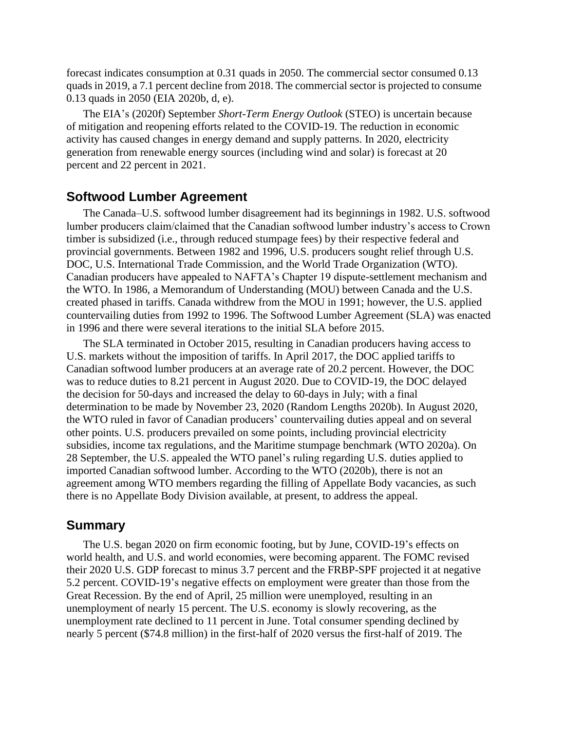forecast indicates consumption at 0.31 quads in 2050. The commercial sector consumed 0.13 quads in 2019, a 7.1 percent decline from 2018. The commercial sector is projected to consume 0.13 quads in 2050 (EIA 2020b, d, e).

The EIA's (2020f) September *Short-Term Energy Outlook* (STEO) is uncertain because of mitigation and reopening efforts related to the COVID-19. The reduction in economic activity has caused changes in energy demand and supply patterns. In 2020, electricity generation from renewable energy sources (including wind and solar) is forecast at 20 percent and 22 percent in 2021.

#### **Softwood Lumber Agreement**

The Canada–U.S. softwood lumber disagreement had its beginnings in 1982. U.S. softwood lumber producers claim/claimed that the Canadian softwood lumber industry's access to Crown timber is subsidized (i.e., through reduced stumpage fees) by their respective federal and provincial governments. Between 1982 and 1996, U.S. producers sought relief through U.S. DOC, U.S. International Trade Commission, and the World Trade Organization (WTO). Canadian producers have appealed to NAFTA's Chapter 19 dispute-settlement mechanism and the WTO. In 1986, a Memorandum of Understanding (MOU) between Canada and the U.S. created phased in tariffs. Canada withdrew from the MOU in 1991; however, the U.S. applied countervailing duties from 1992 to 1996. The Softwood Lumber Agreement (SLA) was enacted in 1996 and there were several iterations to the initial SLA before 2015.

The SLA terminated in October 2015, resulting in Canadian producers having access to U.S. markets without the imposition of tariffs. In April 2017, the DOC applied tariffs to Canadian softwood lumber producers at an average rate of 20.2 percent. However, the DOC was to reduce duties to 8.21 percent in August 2020. Due to COVID-19, the DOC delayed the decision for 50-days and increased the delay to 60-days in July; with a final determination to be made by November 23, 2020 (Random Lengths 2020b). In August 2020, the WTO ruled in favor of Canadian producers' countervailing duties appeal and on several other points. U.S. producers prevailed on some points, including provincial electricity subsidies, income tax regulations, and the Maritime stumpage benchmark (WTO 2020a). On 28 September, the U.S. appealed the WTO panel's ruling regarding U.S. duties applied to imported Canadian softwood lumber. According to the WTO (2020b), there is not an agreement among WTO members regarding the filling of Appellate Body vacancies, as such there is no Appellate Body Division available, at present, to address the appeal.

#### **Summary**

The U.S. began 2020 on firm economic footing, but by June, COVID-19's effects on world health, and U.S. and world economies, were becoming apparent. The FOMC revised their 2020 U.S. GDP forecast to minus 3.7 percent and the FRBP-SPF projected it at negative 5.2 percent. COVID-19's negative effects on employment were greater than those from the Great Recession. By the end of April, 25 million were unemployed, resulting in an unemployment of nearly 15 percent. The U.S. economy is slowly recovering, as the unemployment rate declined to 11 percent in June. Total consumer spending declined by nearly 5 percent (\$74.8 million) in the first-half of 2020 versus the first-half of 2019. The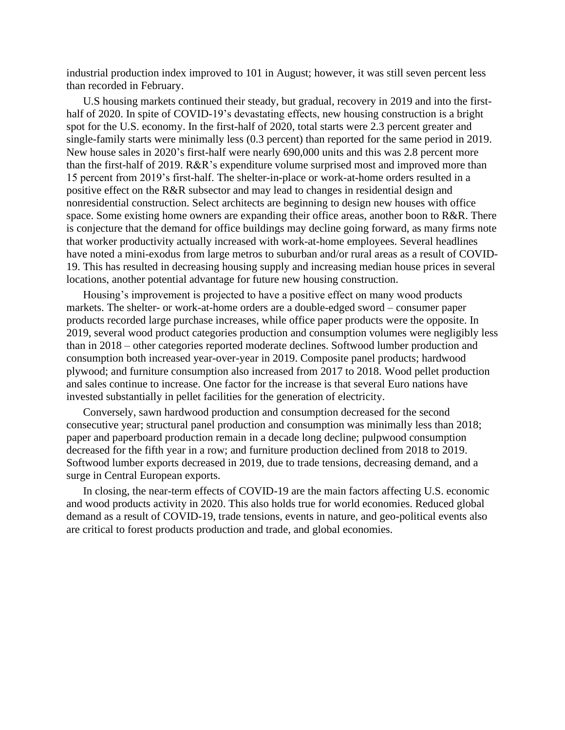industrial production index improved to 101 in August; however, it was still seven percent less than recorded in February.

U.S housing markets continued their steady, but gradual, recovery in 2019 and into the firsthalf of 2020. In spite of COVID-19's devastating effects, new housing construction is a bright spot for the U.S. economy. In the first-half of 2020, total starts were 2.3 percent greater and single-family starts were minimally less (0.3 percent) than reported for the same period in 2019. New house sales in 2020's first-half were nearly 690,000 units and this was 2.8 percent more than the first-half of 2019. R&R's expenditure volume surprised most and improved more than 15 percent from 2019's first-half. The shelter-in-place or work-at-home orders resulted in a positive effect on the R&R subsector and may lead to changes in residential design and nonresidential construction. Select architects are beginning to design new houses with office space. Some existing home owners are expanding their office areas, another boon to R&R. There is conjecture that the demand for office buildings may decline going forward, as many firms note that worker productivity actually increased with work-at-home employees. Several headlines have noted a mini-exodus from large metros to suburban and/or rural areas as a result of COVID-19. This has resulted in decreasing housing supply and increasing median house prices in several locations, another potential advantage for future new housing construction.

Housing's improvement is projected to have a positive effect on many wood products markets. The shelter- or work-at-home orders are a double-edged sword – consumer paper products recorded large purchase increases, while office paper products were the opposite. In 2019, several wood product categories production and consumption volumes were negligibly less than in 2018 – other categories reported moderate declines. Softwood lumber production and consumption both increased year-over-year in 2019. Composite panel products; hardwood plywood; and furniture consumption also increased from 2017 to 2018. Wood pellet production and sales continue to increase. One factor for the increase is that several Euro nations have invested substantially in pellet facilities for the generation of electricity.

Conversely, sawn hardwood production and consumption decreased for the second consecutive year; structural panel production and consumption was minimally less than 2018; paper and paperboard production remain in a decade long decline; pulpwood consumption decreased for the fifth year in a row; and furniture production declined from 2018 to 2019. Softwood lumber exports decreased in 2019, due to trade tensions, decreasing demand, and a surge in Central European exports.

In closing, the near-term effects of COVID-19 are the main factors affecting U.S. economic and wood products activity in 2020. This also holds true for world economies. Reduced global demand as a result of COVID-19, trade tensions, events in nature, and geo-political events also are critical to forest products production and trade, and global economies.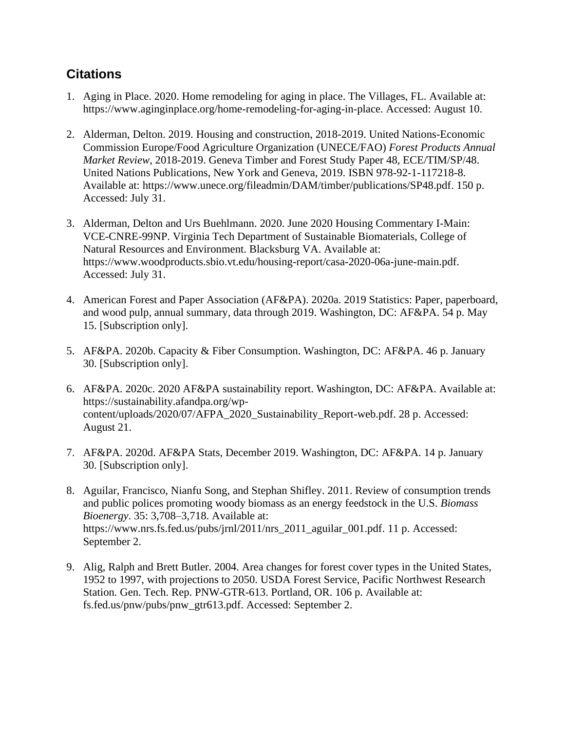# **Citations**

- 1. Aging in Place. 2020. Home remodeling for aging in place. The Villages, FL. Available at: https://www.aginginplace.org/home-remodeling-for-aging-in-place. Accessed: August 10.
- 2. Alderman, Delton. 2019. Housing and construction, 2018-2019. United Nations-Economic Commission Europe/Food Agriculture Organization (UNECE/FAO) *Forest Products Annual Market Review*, 2018-2019. Geneva Timber and Forest Study Paper 48, ECE/TIM/SP/48. United Nations Publications, New York and Geneva, 2019. ISBN 978-92-1-117218-8. Available at: https://www.unece.org/fileadmin/DAM/timber/publications/SP48.pdf. 150 p. Accessed: July 31.
- 3. Alderman, Delton and Urs Buehlmann. 2020. June 2020 Housing Commentary I-Main: VCE-CNRE-99NP. Virginia Tech Department of Sustainable Biomaterials, College of Natural Resources and Environment. Blacksburg VA. Available at: https://www.woodproducts.sbio.vt.edu/housing-report/casa-2020-06a-june-main.pdf. Accessed: July 31.
- 4. American Forest and Paper Association (AF&PA). 2020a. 2019 Statistics: Paper, paperboard, and wood pulp, annual summary, data through 2019. Washington, DC: AF&PA. 54 p. May 15. [Subscription only].
- 5. AF&PA. 2020b. Capacity & Fiber Consumption. Washington, DC: AF&PA. 46 p. January 30. [Subscription only].
- 6. AF&PA. 2020c. 2020 AF&PA sustainability report. Washington, DC: AF&PA. Available at: https://sustainability.afandpa.org/wpcontent/uploads/2020/07/AFPA\_2020\_Sustainability\_Report-web.pdf. 28 p. Accessed: August 21.
- 7. AF&PA. 2020d. AF&PA Stats, December 2019. Washington, DC: AF&PA. 14 p. January 30. [Subscription only].
- 8. Aguilar, Francisco, Nianfu Song, and Stephan Shifley. 2011. Review of consumption trends and public polices promoting woody biomass as an energy feedstock in the U.S. *Biomass Bioenergy*. 35: 3,708–3,718. Available at: https://www.nrs.fs.fed.us/pubs/jrnl/2011/nrs 2011 aguilar 001.pdf. 11 p. Accessed: September 2.
- 9. Alig, Ralph and Brett Butler. 2004. Area changes for forest cover types in the United States, 1952 to 1997, with projections to 2050. USDA Forest Service, Pacific Northwest Research Station*.* Gen. Tech. Rep. PNW-GTR-613. Portland, OR. 106 p. Available at: fs.fed.us/pnw/pubs/pnw\_gtr613.pdf. Accessed: September 2.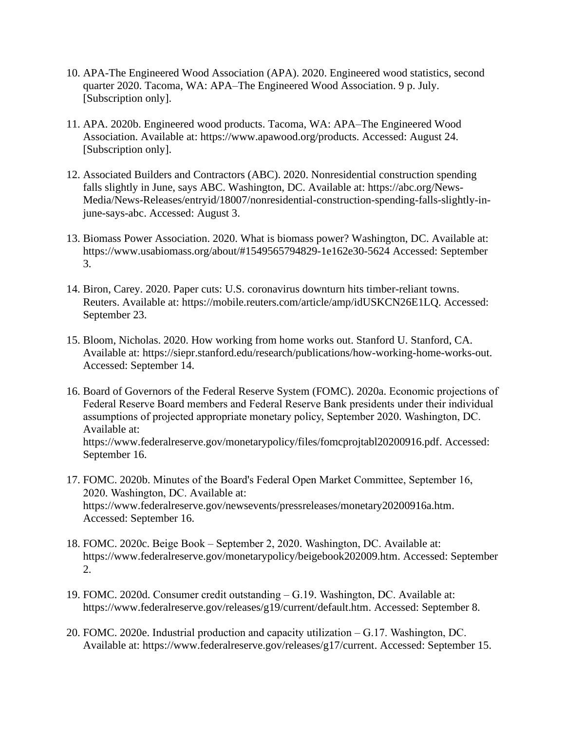- 10. APA-The Engineered Wood Association (APA). 2020. Engineered wood statistics, second quarter 2020. Tacoma, WA: APA–The Engineered Wood Association. 9 p. July. [Subscription only].
- 11. APA. 2020b. Engineered wood products. Tacoma, WA: APA–The Engineered Wood Association. Available at: https://www.apawood.org/products. Accessed: August 24. [Subscription only].
- 12. Associated Builders and Contractors (ABC). 2020. Nonresidential construction spending falls slightly in June, says ABC. Washington, DC. Available at: https://abc.org/News-Media/News-Releases/entryid/18007/nonresidential-construction-spending-falls-slightly-injune-says-abc. Accessed: August 3.
- 13. Biomass Power Association. 2020. What is biomass power? Washington, DC. Available at: https://www.usabiomass.org/about/#1549565794829-1e162e30-5624 Accessed: September 3.
- 14. Biron, Carey. 2020. Paper cuts: U.S. coronavirus downturn hits timber-reliant towns. Reuters. Available at: https://mobile.reuters.com/article/amp/idUSKCN26E1LQ. Accessed: September 23.
- 15. Bloom, Nicholas. 2020. How working from home works out. Stanford U. Stanford, CA. Available at: https://siepr.stanford.edu/research/publications/how-working-home-works-out. Accessed: September 14.
- 16. Board of Governors of the Federal Reserve System (FOMC). 2020a. Economic projections of Federal Reserve Board members and Federal Reserve Bank presidents under their individual assumptions of projected appropriate monetary policy, September 2020. Washington, DC. Available at: https://www.federalreserve.gov/monetarypolicy/files/fomcprojtabl20200916.pdf. Accessed: September 16.
- 17. FOMC. 2020b. Minutes of the Board's Federal Open Market Committee, September 16, 2020. Washington, DC. Available at: https://www.federalreserve.gov/newsevents/pressreleases/monetary20200916a.htm. Accessed: September 16.
- 18. FOMC. 2020c. Beige Book September 2, 2020. Washington, DC. Available at: https://www.federalreserve.gov/monetarypolicy/beigebook202009.htm. Accessed: September 2.
- 19. FOMC. 2020d. Consumer credit outstanding G.19. Washington, DC. Available at: https://www.federalreserve.gov/releases/g19/current/default.htm. Accessed: September 8.
- 20. FOMC. 2020e. Industrial production and capacity utilization G.17. Washington, DC. Available at: https://www.federalreserve.gov/releases/g17/current. Accessed: September 15.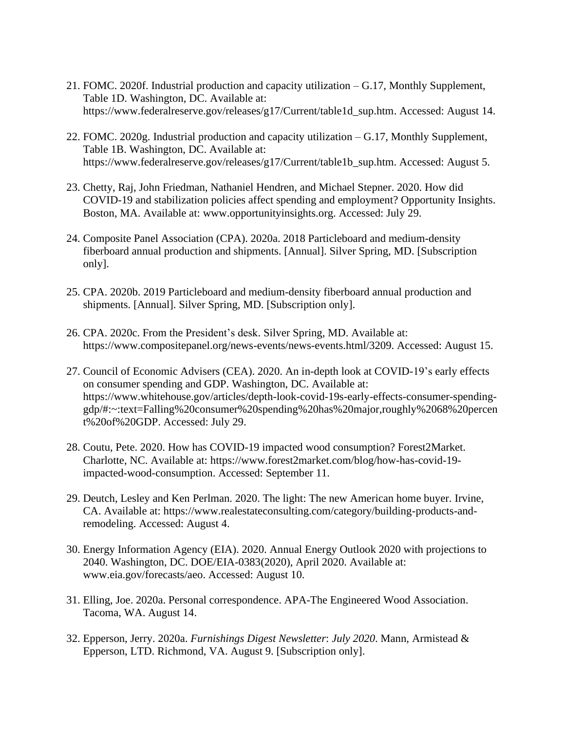- 21. FOMC. 2020f. Industrial production and capacity utilization G.17, Monthly Supplement, Table 1D. Washington, DC. Available at: https://www.federalreserve.gov/releases/g17/Current/table1d\_sup.htm. Accessed: August 14.
- 22. FOMC. 2020g. Industrial production and capacity utilization G.17, Monthly Supplement, Table 1B. Washington, DC. Available at: https://www.federalreserve.gov/releases/g17/Current/table1b\_sup.htm. Accessed: August 5.
- 23. Chetty, Raj, John Friedman, Nathaniel Hendren, and Michael Stepner. 2020. How did COVID-19 and stabilization policies affect spending and employment? Opportunity Insights. Boston, MA. Available at: www.opportunityinsights.org. Accessed: July 29.
- 24. Composite Panel Association (CPA). 2020a. 2018 Particleboard and medium-density fiberboard annual production and shipments. [Annual]. Silver Spring, MD. [Subscription only].
- 25. CPA. 2020b. 2019 Particleboard and medium-density fiberboard annual production and shipments. [Annual]. Silver Spring, MD. [Subscription only].
- 26. CPA. 2020c. From the President's desk. Silver Spring, MD. Available at: https://www.compositepanel.org/news-events/news-events.html/3209. Accessed: August 15.
- 27. Council of Economic Advisers (CEA). 2020. An in-depth look at COVID-19's early effects on consumer spending and GDP. Washington, DC. Available at: https://www.whitehouse.gov/articles/depth-look-covid-19s-early-effects-consumer-spendinggdp/#:~:text=Falling%20consumer%20spending%20has%20major,roughly%2068%20percen t%20of%20GDP. Accessed: July 29.
- 28. Coutu, Pete. 2020. How has COVID-19 impacted wood consumption? Forest2Market. Charlotte, NC. Available at: https://www.forest2market.com/blog/how-has-covid-19 impacted-wood-consumption. Accessed: September 11.
- 29. Deutch, Lesley and Ken Perlman. 2020. The light: The new American home buyer. Irvine, CA. Available at: https://www.realestateconsulting.com/category/building-products-andremodeling. Accessed: August 4.
- 30. Energy Information Agency (EIA). 2020. Annual Energy Outlook 2020 with projections to 2040. Washington, DC. DOE/EIA-0383(2020), April 2020. Available at: www.eia.gov/forecasts/aeo. Accessed: August 10.
- 31. Elling, Joe. 2020a. Personal correspondence. APA-The Engineered Wood Association. Tacoma, WA. August 14.
- 32. Epperson, Jerry. 2020a. *Furnishings Digest Newsletter*: *July 2020*. Mann, Armistead & Epperson, LTD. Richmond, VA. August 9. [Subscription only].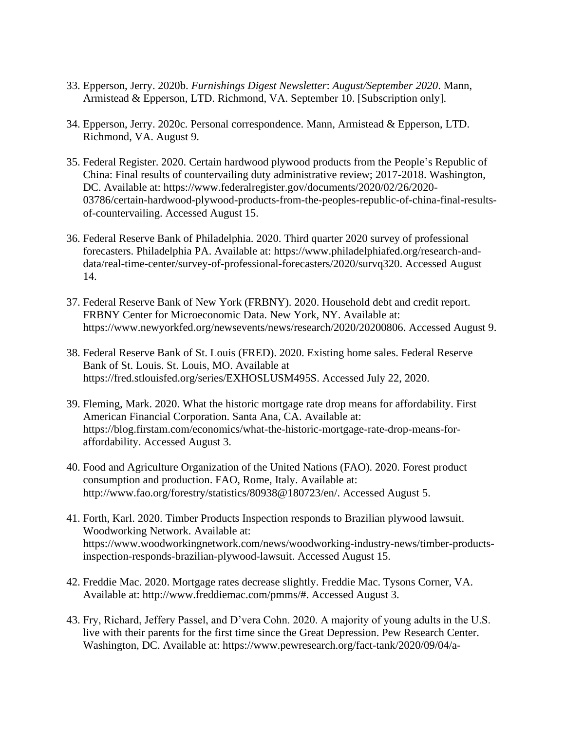- 33. Epperson, Jerry. 2020b. *Furnishings Digest Newsletter*: *August/September 2020*. Mann, Armistead & Epperson, LTD. Richmond, VA. September 10. [Subscription only].
- 34. Epperson, Jerry. 2020c. Personal correspondence. Mann, Armistead & Epperson, LTD. Richmond, VA. August 9.
- 35. Federal Register. 2020. Certain hardwood plywood products from the People's Republic of China: Final results of countervailing duty administrative review; 2017-2018. Washington, DC. Available at: https://www.federalregister.gov/documents/2020/02/26/2020- 03786/certain-hardwood-plywood-products-from-the-peoples-republic-of-china-final-resultsof-countervailing. Accessed August 15.
- 36. Federal Reserve Bank of Philadelphia. 2020. Third quarter 2020 survey of professional forecasters. Philadelphia PA. Available at: https://www.philadelphiafed.org/research-anddata/real-time-center/survey-of-professional-forecasters/2020/survq320. Accessed August 14.
- 37. Federal Reserve Bank of New York (FRBNY). 2020. Household debt and credit report. FRBNY Center for Microeconomic Data. New York, NY. Available at: https://www.newyorkfed.org/newsevents/news/research/2020/20200806. Accessed August 9.
- 38. Federal Reserve Bank of St. Louis (FRED). 2020. Existing home sales. Federal Reserve Bank of St. Louis. St. Louis, MO. Available at https://fred.stlouisfed.org/series/EXHOSLUSM495S. Accessed July 22, 2020.
- 39. Fleming, Mark. 2020. What the historic mortgage rate drop means for affordability. First American Financial Corporation. Santa Ana, CA. Available at: https://blog.firstam.com/economics/what-the-historic-mortgage-rate-drop-means-foraffordability. Accessed August 3.
- 40. Food and Agriculture Organization of the United Nations (FAO). 2020. Forest product consumption and production. FAO, Rome, Italy. Available at: http://www.fao.org/forestry/statistics/80938@180723/en/. Accessed August 5.
- 41. Forth, Karl. 2020. Timber Products Inspection responds to Brazilian plywood lawsuit. Woodworking Network. Available at: https://www.woodworkingnetwork.com/news/woodworking-industry-news/timber-productsinspection-responds-brazilian-plywood-lawsuit. Accessed August 15.
- 42. Freddie Mac. 2020. Mortgage rates decrease slightly. Freddie Mac. Tysons Corner, VA. Available at: http://www.freddiemac.com/pmms/#. Accessed August 3.
- 43. Fry, Richard, Jeffery Passel, and D'vera Cohn. 2020. A majority of young adults in the U.S. live with their parents for the first time since the Great Depression. Pew Research Center. Washington, DC. Available at: https://www.pewresearch.org/fact-tank/2020/09/04/a-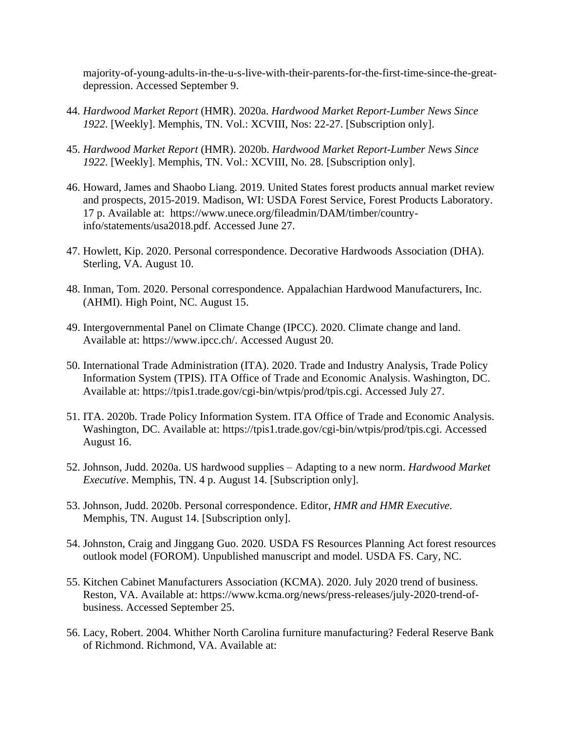majority-of-young-adults-in-the-u-s-live-with-their-parents-for-the-first-time-since-the-greatdepression. Accessed September 9.

- 44. *Hardwood Market Report* (HMR). 2020a. *Hardwood Market Report-Lumber News Since 1922*. [Weekly]. Memphis, TN. Vol.: XCVIII, Nos: 22-27. [Subscription only].
- 45. *Hardwood Market Report* (HMR). 2020b. *Hardwood Market Report-Lumber News Since 1922*. [Weekly]. Memphis, TN. Vol.: XCVIII, No. 28. [Subscription only].
- 46. Howard, James and Shaobo Liang. 2019*.* United States forest products annual market review and prospects, 2015-2019. Madison, WI: USDA Forest Service, Forest Products Laboratory. 17 p. Available at: https://www.unece.org/fileadmin/DAM/timber/countryinfo/statements/usa2018.pdf. Accessed June 27.
- 47. Howlett, Kip. 2020. Personal correspondence. Decorative Hardwoods Association (DHA). Sterling, VA. August 10.
- 48. Inman, Tom. 2020. Personal correspondence. Appalachian Hardwood Manufacturers, Inc. (AHMI). High Point, NC. August 15.
- 49. Intergovernmental Panel on Climate Change (IPCC). 2020. Climate change and land. Available at: https://www.ipcc.ch/. Accessed August 20.
- 50. International Trade Administration (ITA). 2020. Trade and Industry Analysis, Trade Policy Information System (TPIS). ITA Office of Trade and Economic Analysis. Washington, DC. Available at: https://tpis1.trade.gov/cgi-bin/wtpis/prod/tpis.cgi. Accessed July 27.
- 51. ITA. 2020b. Trade Policy Information System. ITA Office of Trade and Economic Analysis. Washington, DC. Available at: https://tpis1.trade.gov/cgi-bin/wtpis/prod/tpis.cgi. Accessed August 16.
- 52. Johnson, Judd. 2020a. US hardwood supplies Adapting to a new norm. *Hardwood Market Executive*. Memphis, TN. 4 p. August 14. [Subscription only].
- 53. Johnson, Judd. 2020b. Personal correspondence. Editor, *HMR and HMR Executive*. Memphis, TN. August 14. [Subscription only].
- 54. Johnston, Craig and Jinggang Guo. 2020. USDA FS Resources Planning Act forest resources outlook model (FOROM). Unpublished manuscript and model. USDA FS. Cary, NC.
- 55. Kitchen Cabinet Manufacturers Association (KCMA). 2020. July 2020 trend of business. Reston, VA. Available at: https://www.kcma.org/news/press-releases/july-2020-trend-ofbusiness. Accessed September 25.
- 56. Lacy, Robert. 2004. Whither North Carolina furniture manufacturing? Federal Reserve Bank of Richmond. Richmond, VA. Available at: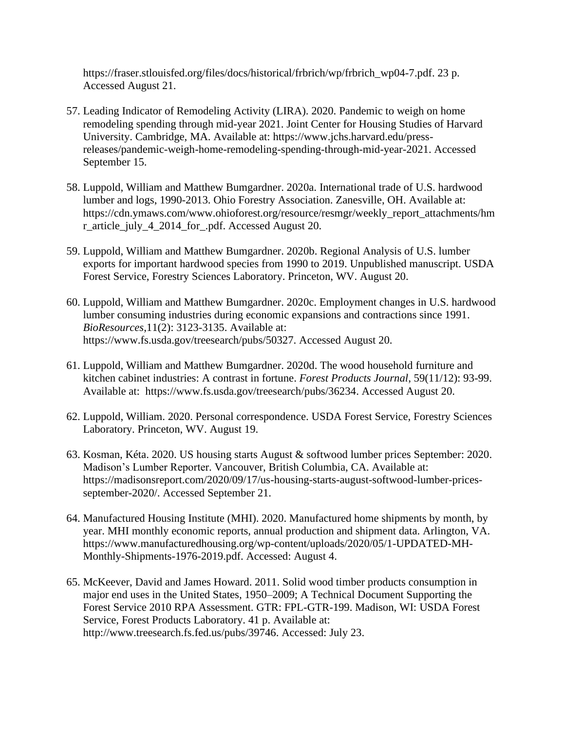https://fraser.stlouisfed.org/files/docs/historical/frbrich/wp/frbrich\_wp04-7.pdf. 23 p. Accessed August 21.

- 57. Leading Indicator of Remodeling Activity (LIRA). 2020. Pandemic to weigh on home remodeling spending through mid-year 2021. Joint Center for Housing Studies of Harvard University. Cambridge, MA. Available at: https://www.jchs.harvard.edu/pressreleases/pandemic-weigh-home-remodeling-spending-through-mid-year-2021. Accessed September 15.
- 58. Luppold, William and Matthew Bumgardner. 2020a. International trade of U.S. hardwood lumber and logs, 1990-2013. Ohio Forestry Association. Zanesville, OH. Available at: https://cdn.ymaws.com/www.ohioforest.org/resource/resmgr/weekly\_report\_attachments/hm r\_article\_july\_4\_2014\_for\_.pdf. Accessed August 20.
- 59. Luppold, William and Matthew Bumgardner. 2020b. Regional Analysis of U.S. lumber exports for important hardwood species from 1990 to 2019. Unpublished manuscript. USDA Forest Service, Forestry Sciences Laboratory. Princeton, WV. August 20.
- 60. Luppold, William and Matthew Bumgardner. 2020c. Employment changes in U.S. hardwood lumber consuming industries during economic expansions and contractions since 1991. *BioResources*,11(2): 3123-3135. Available at: https://www.fs.usda.gov/treesearch/pubs/50327. Accessed August 20.
- 61. Luppold, William and Matthew Bumgardner. 2020d. The wood household furniture and kitchen cabinet industries: A contrast in fortune. *Forest Products Journal*, 59(11/12): 93-99. Available at: https://www.fs.usda.gov/treesearch/pubs/36234. Accessed August 20.
- 62. Luppold, William. 2020. Personal correspondence. USDA Forest Service, Forestry Sciences Laboratory. Princeton, WV. August 19.
- 63. Kosman, Kéta. 2020. US housing starts August & softwood lumber prices September: 2020. Madison's Lumber Reporter. Vancouver, British Columbia, CA. Available at: https://madisonsreport.com/2020/09/17/us-housing-starts-august-softwood-lumber-pricesseptember-2020/. Accessed September 21.
- 64. Manufactured Housing Institute (MHI). 2020. Manufactured home shipments by month, by year. MHI monthly economic reports, annual production and shipment data. Arlington, VA. https://www.manufacturedhousing.org/wp-content/uploads/2020/05/1-UPDATED-MH-Monthly-Shipments-1976-2019.pdf. Accessed: August 4.
- 65. McKeever, David and James Howard. 2011. Solid wood timber products consumption in major end uses in the United States, 1950–2009; A Technical Document Supporting the Forest Service 2010 RPA Assessment. GTR: FPL-GTR-199. Madison, WI: USDA Forest Service, Forest Products Laboratory. 41 p. Available at: [http://www.treesearch.fs.fed.us/pubs/39746.](http://www.treesearch.fs.fed.us/pubs/39746) Accessed: July 23.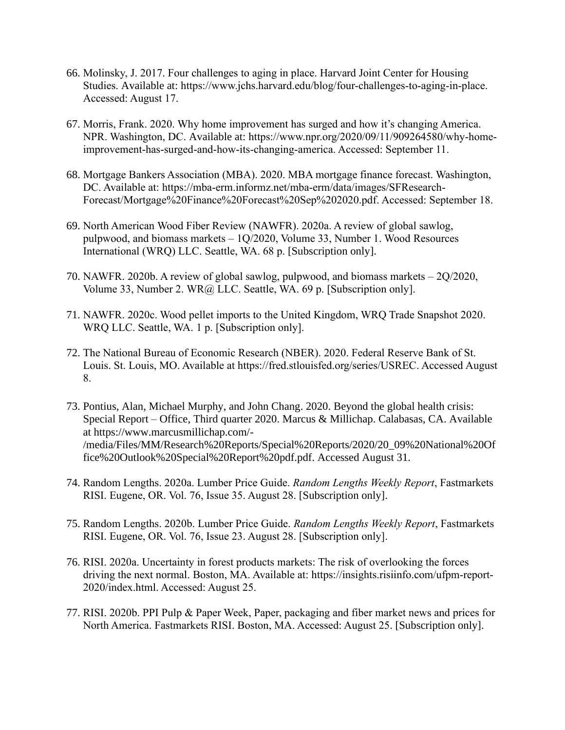- 66. Molinsky, J. 2017. Four challenges to aging in place. Harvard Joint Center for Housing Studies. Available at: https://www.jchs.harvard.edu/blog/four-challenges-to-aging-in-place. Accessed: August 17.
- 67. Morris, Frank. 2020. Why home improvement has surged and how it's changing America. NPR. Washington, DC. Available at: https://www.npr.org/2020/09/11/909264580/why-homeimprovement-has-surged-and-how-its-changing-america. Accessed: September 11.
- 68. Mortgage Bankers Association (MBA). 2020. MBA mortgage finance forecast. Washington, DC. Available at: https://mba-erm.informz.net/mba-erm/data/images/SFResearch-Forecast/Mortgage%20Finance%20Forecast%20Sep%202020.pdf. Accessed: September 18.
- 69. North American Wood Fiber Review (NAWFR). 2020a. A review of global sawlog, pulpwood, and biomass markets – 1Q/2020, Volume 33, Number 1. Wood Resources International (WRQ) LLC. Seattle, WA. 68 p. [Subscription only].
- 70. NAWFR. 2020b. A review of global sawlog, pulpwood, and biomass markets 2Q/2020, Volume 33, Number 2. WR@ LLC. Seattle, WA. 69 p. [Subscription only].
- 71. NAWFR. 2020c. Wood pellet imports to the United Kingdom, WRQ Trade Snapshot 2020. WRQ LLC. Seattle, WA. 1 p. [Subscription only].
- 72. The National Bureau of Economic Research (NBER). 2020. Federal Reserve Bank of St. Louis. St. Louis, MO. Available at https://fred.stlouisfed.org/series/USREC. Accessed August 8.
- 73. Pontius, Alan, Michael Murphy, and John Chang. 2020. Beyond the global health crisis: Special Report – Office, Third quarter 2020. Marcus & Millichap. Calabasas, CA. Available at https://www.marcusmillichap.com/- /media/Files/MM/Research%20Reports/Special%20Reports/2020/20\_09%20National%20Of fice%20Outlook%20Special%20Report%20pdf.pdf. Accessed August 31.
- 74. Random Lengths. 2020a. Lumber Price Guide. *Random Lengths Weekly Report*, Fastmarkets RISI. Eugene, OR. Vol. 76, Issue 35. August 28. [Subscription only].
- 75. Random Lengths. 2020b. Lumber Price Guide. *Random Lengths Weekly Report*, Fastmarkets RISI. Eugene, OR. Vol. 76, Issue 23. August 28. [Subscription only].
- 76. RISI. 2020a. Uncertainty in forest products markets: The risk of overlooking the forces driving the next normal. Boston, MA. Available at: https://insights.risiinfo.com/ufpm-report-2020/index.html. Accessed: August 25.
- 77. RISI. 2020b. PPI Pulp & Paper Week, Paper, packaging and fiber market news and prices for North America. Fastmarkets RISI. Boston, MA. Accessed: August 25. [Subscription only].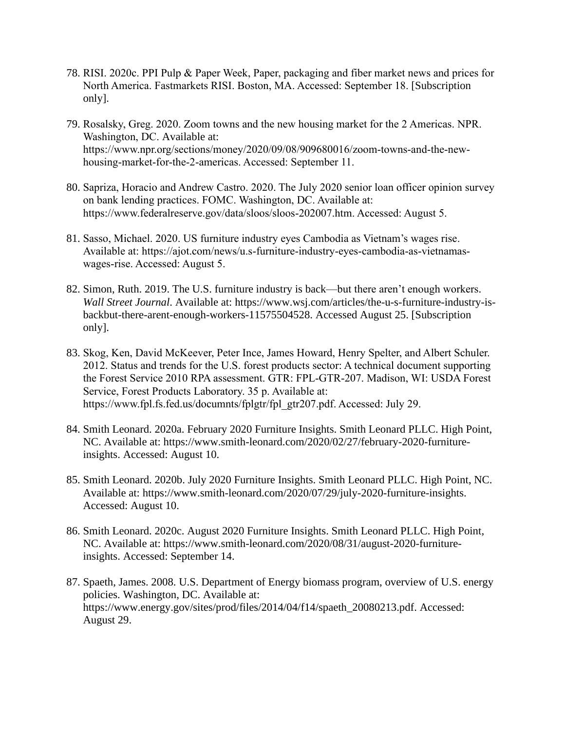- 78. RISI. 2020c. PPI Pulp & Paper Week, Paper, packaging and fiber market news and prices for North America. Fastmarkets RISI. Boston, MA. Accessed: September 18. [Subscription only].
- 79. Rosalsky, Greg. 2020. Zoom towns and the new housing market for the 2 Americas. NPR. Washington, DC. Available at: https://www.npr.org/sections/money/2020/09/08/909680016/zoom-towns-and-the-newhousing-market-for-the-2-americas. Accessed: September 11.
- 80. Sapriza, Horacio and Andrew Castro. 2020. The July 2020 senior loan officer opinion survey on bank lending practices. FOMC. Washington, DC. Available at: https://www.federalreserve.gov/data/sloos/sloos-202007.htm. Accessed: August 5.
- 81. Sasso, Michael. 2020. US furniture industry eyes Cambodia as Vietnam's wages rise. Available at: https://ajot.com/news/u.s-furniture-industry-eyes-cambodia-as-vietnamaswages-rise. Accessed: August 5.
- 82. Simon, Ruth. 2019. The U.S. furniture industry is back—but there aren't enough workers. *Wall Street Journal*. Available at: https://www.wsj.com/articles/the-u-s-furniture-industry-isbackbut-there-arent-enough-workers-11575504528. Accessed August 25. [Subscription only].
- 83. Skog, Ken, David McKeever, Peter Ince, James Howard, Henry Spelter, and Albert Schuler. 2012. Status and trends for the U.S. forest products sector: A technical document supporting the Forest Service 2010 RPA assessment. GTR: FPL-GTR-207. Madison, WI: USDA Forest Service, Forest Products Laboratory. 35 p. Available at: https://www.fpl.fs.fed.us/documnts/fplgtr/fpl\_gtr207.pdf. Accessed: July 29.
- 84. Smith Leonard. 2020a. February 2020 Furniture Insights. Smith Leonard PLLC. High Point, NC. Available at: https://www.smith-leonard.com/2020/02/27/february-2020-furnitureinsights. Accessed: August 10.
- 85. Smith Leonard. 2020b. July 2020 Furniture Insights. Smith Leonard PLLC. High Point, NC. Available at: https://www.smith-leonard.com/2020/07/29/july-2020-furniture-insights. Accessed: August 10.
- 86. Smith Leonard. 2020c. August 2020 Furniture Insights. Smith Leonard PLLC. High Point, NC. Available at: https://www.smith-leonard.com/2020/08/31/august-2020-furnitureinsights. Accessed: September 14.
- 87. Spaeth, James. 2008. U.S. Department of Energy biomass program, overview of U.S. energy policies. Washington, DC. Available at: https://www.energy.gov/sites/prod/files/2014/04/f14/spaeth\_20080213.pdf. Accessed: August 29.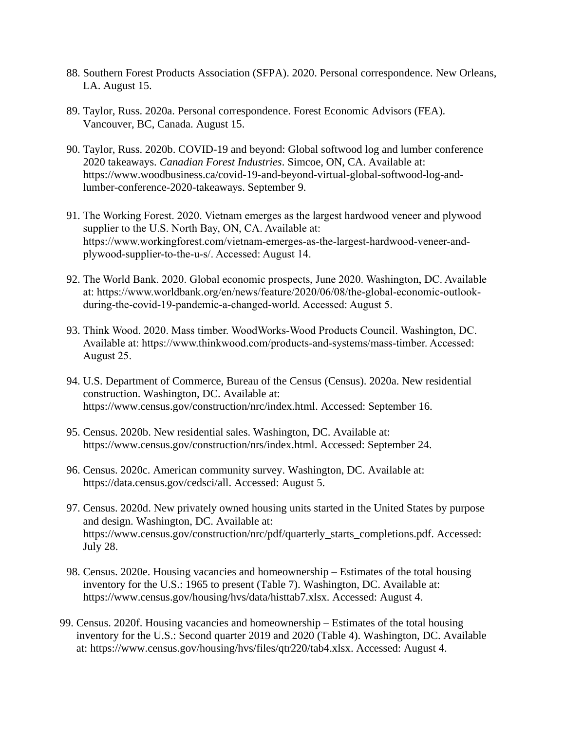- 88. Southern Forest Products Association (SFPA). 2020. Personal correspondence. New Orleans, LA. August 15.
- 89. Taylor, Russ. 2020a. Personal correspondence. Forest Economic Advisors (FEA). Vancouver, BC, Canada. August 15.
- 90. Taylor, Russ. 2020b. COVID-19 and beyond: Global softwood log and lumber conference 2020 takeaways. *Canadian Forest Industries*. Simcoe, ON, CA. Available at: https://www.woodbusiness.ca/covid-19-and-beyond-virtual-global-softwood-log-andlumber-conference-2020-takeaways. September 9.
- 91. The Working Forest. 2020. Vietnam emerges as the largest hardwood veneer and plywood supplier to the U.S. North Bay, ON, CA. Available at: https://www.workingforest.com/vietnam-emerges-as-the-largest-hardwood-veneer-andplywood-supplier-to-the-u-s/. Accessed: August 14.
- 92. The World Bank. 2020. Global economic prospects, June 2020. Washington, DC. Available at: https://www.worldbank.org/en/news/feature/2020/06/08/the-global-economic-outlookduring-the-covid-19-pandemic-a-changed-world. Accessed: August 5.
- 93. Think Wood. 2020. Mass timber. WoodWorks-Wood Products Council. Washington, DC. Available at: https://www.thinkwood.com/products-and-systems/mass-timber. Accessed: August 25.
- 94. U.S. Department of Commerce, Bureau of the Census (Census). 2020a. New residential construction. Washington, DC. Available at: https://www.census.gov/construction/nrc/index.html. Accessed: September 16.
- 95. Census. 2020b. New residential sales. Washington, DC. Available at: https://www.census.gov/construction/nrs/index.html. Accessed: September 24.
- 96. Census. 2020c. American community survey. Washington, DC. Available at: https://data.census.gov/cedsci/all. Accessed: August 5.
- 97. Census. 2020d. New privately owned housing units started in the United States by purpose and design. Washington, DC. Available at: https://www.census.gov/construction/nrc/pdf/quarterly\_starts\_completions.pdf. Accessed: July 28.
- 98. Census. 2020e. Housing vacancies and homeownership Estimates of the total housing inventory for the U.S.: 1965 to present (Table 7). Washington, DC. Available at: https://www.census.gov/housing/hvs/data/histtab7.xlsx. Accessed: August 4.
- 99. Census. 2020f. Housing vacancies and homeownership Estimates of the total housing inventory for the U.S.: Second quarter 2019 and 2020 (Table 4). Washington, DC. Available at: https://www.census.gov/housing/hvs/files/qtr220/tab4.xlsx. Accessed: August 4.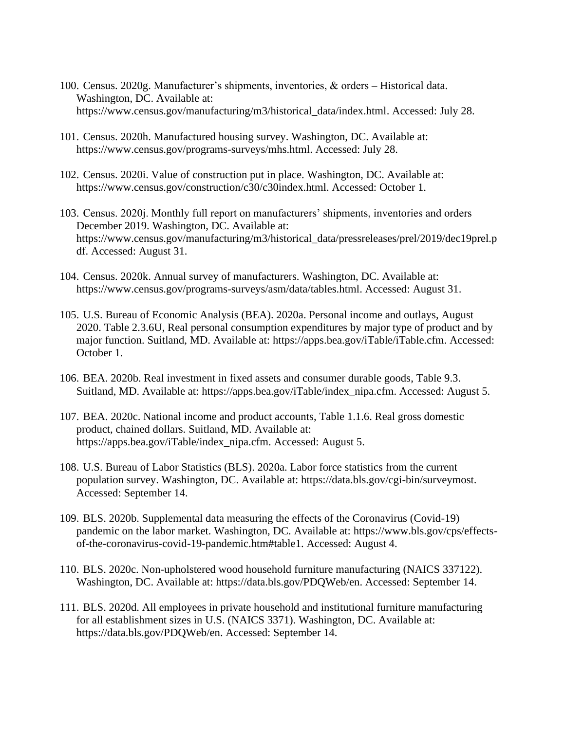- 100. Census. 2020g. Manufacturer's shipments, inventories, & orders Historical data. Washington, DC. Available at: https://www.census.gov/manufacturing/m3/historical\_data/index.html. Accessed: July 28.
- 101. Census. 2020h. Manufactured housing survey. Washington, DC. Available at: https://www.census.gov/programs-surveys/mhs.html. Accessed: July 28.
- 102. Census. 2020i. Value of construction put in place. Washington, DC. Available at: https://www.census.gov/construction/c30/c30index.html. Accessed: October 1.
- 103. Census. 2020j. Monthly full report on manufacturers' shipments, inventories and orders December 2019. Washington, DC. Available at: https://www.census.gov/manufacturing/m3/historical\_data/pressreleases/prel/2019/dec19prel.p df. Accessed: August 31.
- 104. Census. 2020k. Annual survey of manufacturers. Washington, DC. Available at: https://www.census.gov/programs-surveys/asm/data/tables.html. Accessed: August 31.
- 105. U.S. Bureau of Economic Analysis (BEA). 2020a. Personal income and outlays, August 2020. Table 2.3.6U, Real personal consumption expenditures by major type of product and by major function. Suitland, MD. Available at: https://apps.bea.gov/iTable/iTable.cfm. Accessed: October 1.
- 106. BEA. 2020b. Real investment in fixed assets and consumer durable goods, Table 9.3. Suitland, MD. Available at: https://apps.bea.gov/iTable/index\_nipa.cfm. Accessed: August 5.
- 107. BEA. 2020c. National income and product accounts, Table 1.1.6. Real gross domestic product, chained dollars. Suitland, MD. Available at: https://apps.bea.gov/iTable/index\_nipa.cfm. Accessed: August 5.
- 108. U.S. Bureau of Labor Statistics (BLS). 2020a. Labor force statistics from the current population survey. Washington, DC. Available at: https://data.bls.gov/cgi-bin/surveymost. Accessed: September 14.
- 109. BLS. 2020b. Supplemental data measuring the effects of the Coronavirus (Covid-19) pandemic on the labor market. Washington, DC. Available at: https://www.bls.gov/cps/effectsof-the-coronavirus-covid-19-pandemic.htm#table1. Accessed: August 4.
- 110. BLS. 2020c. Non-upholstered wood household furniture manufacturing (NAICS 337122). Washington, DC. Available at: https://data.bls.gov/PDQWeb/en. Accessed: September 14.
- 111. BLS. 2020d. All employees in private household and institutional furniture manufacturing for all establishment sizes in U.S. (NAICS 3371). Washington, DC. Available at: https://data.bls.gov/PDQWeb/en. Accessed: September 14.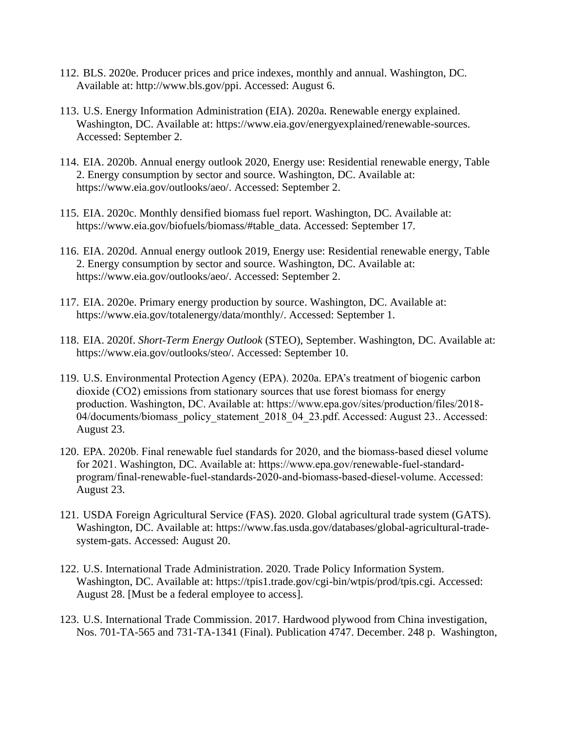- 112. BLS. 2020e. Producer prices and price indexes, monthly and annual. Washington, DC. Available at: [http://www.bls.gov/ppi.](http://www.bls.gov/ppi) Accessed: August 6.
- 113. U.S. Energy Information Administration (EIA). 2020a. Renewable energy explained. Washington, DC. Available at: https://www.eia.gov/energyexplained/renewable-sources. Accessed: September 2.
- 114. EIA. 2020b. Annual energy outlook 2020, Energy use: Residential renewable energy, Table 2. Energy consumption by sector and source. Washington, DC. Available at: https://www.eia.gov/outlooks/aeo/. Accessed: September 2.
- 115. EIA. 2020c. Monthly densified biomass fuel report. Washington, DC. Available at: https://www.eia.gov/biofuels/biomass/#table\_data. Accessed: September 17.
- 116. EIA. 2020d. Annual energy outlook 2019, Energy use: Residential renewable energy, Table 2. Energy consumption by sector and source. Washington, DC. Available at: https://www.eia.gov/outlooks/aeo/. Accessed: September 2.
- 117. EIA. 2020e. Primary energy production by source. Washington, DC. Available at: https://www.eia.gov/totalenergy/data/monthly/. Accessed: September 1.
- 118. EIA. 2020f. *Short-Term Energy Outlook* (STEO), September. Washington, DC. Available at: https://www.eia.gov/outlooks/steo/. Accessed: September 10.
- 119. U.S. Environmental Protection Agency (EPA). 2020a. EPA's treatment of biogenic carbon dioxide (CO2) emissions from stationary sources that use forest biomass for energy production. Washington, DC. Available at: https://www.epa.gov/sites/production/files/2018- 04/documents/biomass\_policy\_statement\_2018\_04\_23.pdf. Accessed: August 23.. Accessed: August 23.
- 120. EPA. 2020b. Final renewable fuel standards for 2020, and the biomass-based diesel volume for 2021. Washington, DC. Available at: https://www.epa.gov/renewable-fuel-standardprogram/final-renewable-fuel-standards-2020-and-biomass-based-diesel-volume. Accessed: August 23.
- 121. USDA Foreign Agricultural Service (FAS). 2020. Global agricultural trade system (GATS). Washington, DC. Available at: https://www.fas.usda.gov/databases/global-agricultural-tradesystem-gats. Accessed: August 20.
- 122. U.S. International Trade Administration. 2020. Trade Policy Information System. Washington, DC. Available at: https://tpis1.trade.gov/cgi-bin/wtpis/prod/tpis.cgi. Accessed: August 28. [Must be a federal employee to access].
- 123. U.S. International Trade Commission. 2017. Hardwood plywood from China investigation, Nos. 701-TA-565 and 731-TA-1341 (Final). Publication 4747. December. 248 p. Washington,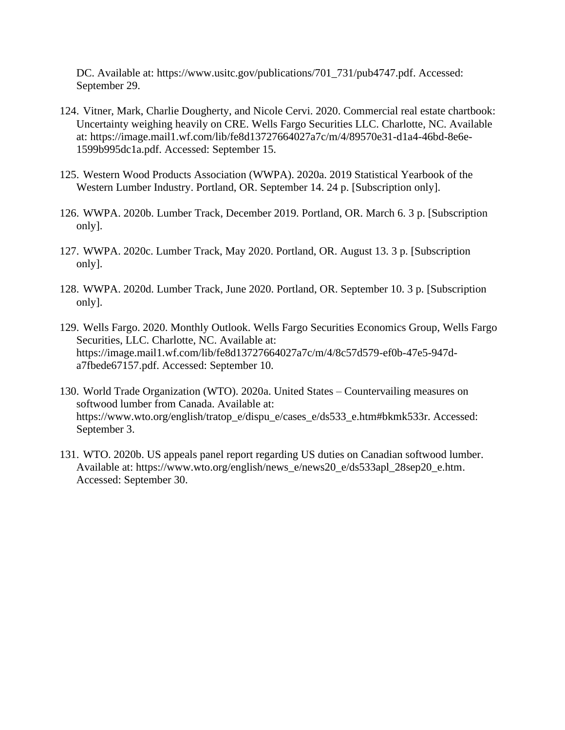DC. Available at: https://www.usitc.gov/publications/701\_731/pub4747.pdf. Accessed: September 29.

- 124. Vitner, Mark, Charlie Dougherty, and Nicole Cervi. 2020. Commercial real estate chartbook: Uncertainty weighing heavily on CRE. Wells Fargo Securities LLC. Charlotte, NC. Available at: https://image.mail1.wf.com/lib/fe8d13727664027a7c/m/4/89570e31-d1a4-46bd-8e6e-1599b995dc1a.pdf. Accessed: September 15.
- 125. Western Wood Products Association (WWPA). 2020a. 2019 Statistical Yearbook of the Western Lumber Industry. Portland, OR. September 14. 24 p. [Subscription only].
- 126. WWPA. 2020b. Lumber Track, December 2019. Portland, OR. March 6. 3 p. [Subscription only].
- 127. WWPA. 2020c. Lumber Track, May 2020. Portland, OR. August 13. 3 p. [Subscription only].
- 128. WWPA. 2020d. Lumber Track, June 2020. Portland, OR. September 10. 3 p. [Subscription only].
- 129. Wells Fargo. 2020. Monthly Outlook. Wells Fargo Securities Economics Group, Wells Fargo Securities, LLC. Charlotte, NC. Available at: https://image.mail1.wf.com/lib/fe8d13727664027a7c/m/4/8c57d579-ef0b-47e5-947da7fbede67157.pdf. Accessed: September 10.
- 130. World Trade Organization (WTO). 2020a. United States Countervailing measures on softwood lumber from Canada. Available at: https://www.wto.org/english/tratop\_e/dispu\_e/cases\_e/ds533\_e.htm#bkmk533r. Accessed: September 3.
- 131. WTO. 2020b. US appeals panel report regarding US duties on Canadian softwood lumber. Available at: https://www.wto.org/english/news\_e/news20\_e/ds533apl\_28sep20\_e.htm. Accessed: September 30.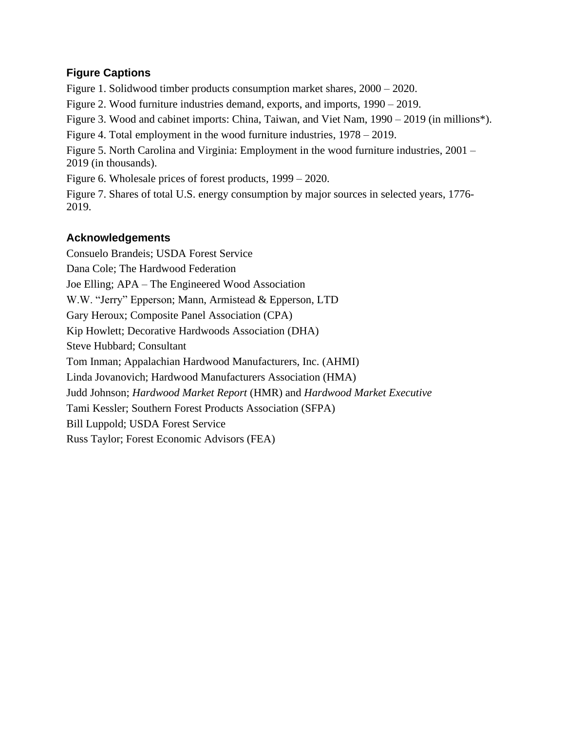## **Figure Captions**

Figure 1. Solidwood timber products consumption market shares, 2000 – 2020. Figure 2. Wood furniture industries demand, exports, and imports, 1990 – 2019.

Figure 3. Wood and cabinet imports: China, Taiwan, and Viet Nam, 1990 – 2019 (in millions\*).

Figure 4. Total employment in the wood furniture industries, 1978 – 2019.

Figure 5. North Carolina and Virginia: Employment in the wood furniture industries, 2001 – 2019 (in thousands).

Figure 6. Wholesale prices of forest products, 1999 – 2020.

Figure 7. Shares of total U.S. energy consumption by major sources in selected years, 1776- 2019.

# **Acknowledgements**

Consuelo Brandeis; USDA Forest Service Dana Cole; The Hardwood Federation Joe Elling; APA – The Engineered Wood Association W.W. "Jerry" Epperson; Mann, Armistead & Epperson, LTD Gary Heroux; Composite Panel Association (CPA) Kip Howlett; Decorative Hardwoods Association (DHA) Steve Hubbard; Consultant Tom Inman; Appalachian Hardwood Manufacturers, Inc. (AHMI) Linda Jovanovich; Hardwood Manufacturers Association (HMA) Judd Johnson; *Hardwood Market Report* (HMR) and *Hardwood Market Executive* Tami Kessler; Southern Forest Products Association (SFPA) Bill Luppold; USDA Forest Service Russ Taylor; Forest Economic Advisors (FEA)